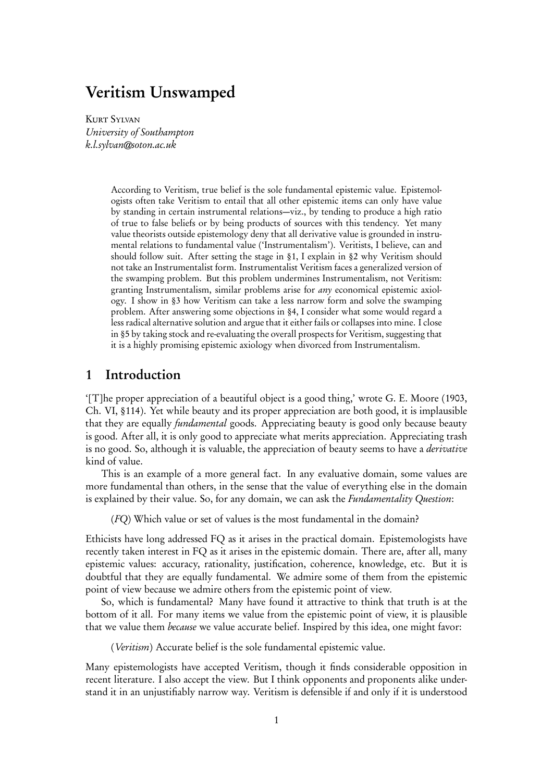# Veritism Unswamped

Kurt Sylvan University of Southampton k.l.sylvan@soton.ac.uk

> According to Veritism, true belief is the sole fundamental epistemic value. Epistemologists often take Veritism to entail that all other epistemic items can only have value by standing in certain instrumental relations—viz., by tending to produce a high ratio of true to false beliefs or by being products of sources with this tendency. Yet many value theorists outside epistemology deny that all derivative value is grounded in instrumental relations to fundamental value ('Instrumentalism'). Veritists, I believe, can and should follow suit. After setting the stage in §1, I explain in §2 why Veritism should not take an Instrumentalist form. Instrumentalist Veritism faces a generalized version of the swamping problem. But this problem undermines Instrumentalism, not Veritism: granting Instrumentalism, similar problems arise for any economical epistemic axiology. I show in §3 how Veritism can take a less narrow form and solve the swamping problem. After answering some objections in §4, I consider what some would regard a less radical alternative solution and argue that it either fails or collapses into mine. I close in §5 by taking stock and re-evaluating the overall prospects for Veritism, suggesting that it is a highly promising epistemic axiology when divorced from Instrumentalism.

# 1 Introduction

'[T]he proper appreciation of a beautiful object is a good thing,' wrote G. E. Moore (1903, Ch. VI, §114). Yet while beauty and its proper appreciation are both good, it is implausible that they are equally *fundamental* goods. Appreciating beauty is good only because beauty is good. After all, it is only good to appreciate what merits appreciation. Appreciating trash is no good. So, although it is valuable, the appreciation of beauty seems to have a *derivative* kind of value.

This is an example of a more general fact. In any evaluative domain, some values are more fundamental than others, in the sense that the value of everything else in the domain is explained by their value. So, for any domain, we can ask the *Fundamentality Question*:

(FQ) Which value or set of values is the most fundamental in the domain?

Ethicists have long addressed FQ as it arises in the practical domain. Epistemologists have recently taken interest in FQ as it arises in the epistemic domain. There are, after all, many epistemic values: accuracy, rationality, justification, coherence, knowledge, etc. But it is doubtful that they are equally fundamental. We admire some of them from the epistemic point of view because we admire others from the epistemic point of view.

So, which is fundamental? Many have found it attractive to think that truth is at the bottom of it all. For many items we value from the epistemic point of view, it is plausible that we value them because we value accurate belief. Inspired by this idea, one might favor:

(Veritism) Accurate belief is the sole fundamental epistemic value.

Many epistemologists have accepted Veritism, though it finds considerable opposition in recent literature. I also accept the view. But I think opponents and proponents alike understand it in an unjustifiably narrow way. Veritism is defensible if and only if it is understood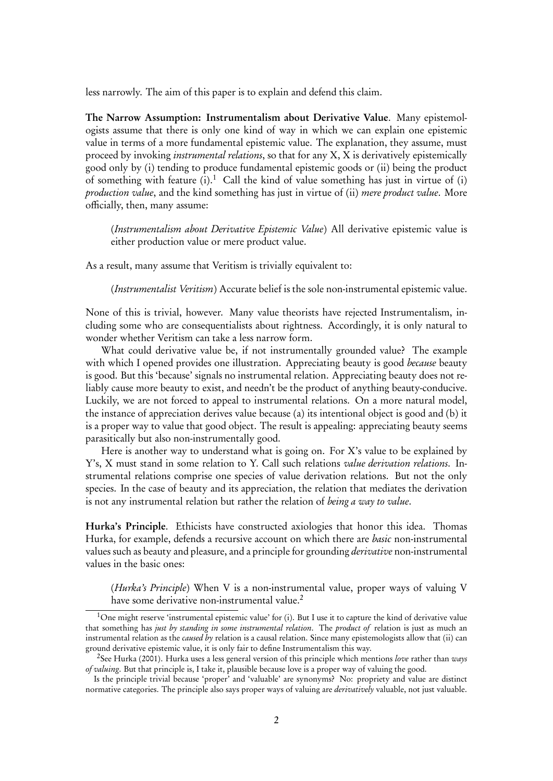less narrowly. The aim of this paper is to explain and defend this claim.

The Narrow Assumption: Instrumentalism about Derivative Value. Many epistemologists assume that there is only one kind of way in which we can explain one epistemic value in terms of a more fundamental epistemic value. The explanation, they assume, must proceed by invoking *instrumental relations*, so that for any X, X is derivatively epistemically good only by (i) tending to produce fundamental epistemic goods or (ii) being the product of something with feature  $(i)$ .<sup>1</sup> Call the kind of value something has just in virtue of  $(i)$ production value, and the kind something has just in virtue of (ii) mere product value. More officially, then, many assume:

(Instrumentalism about Derivative Epistemic Value) All derivative epistemic value is either production value or mere product value.

As a result, many assume that Veritism is trivially equivalent to:

(Instrumentalist Veritism) Accurate belief is the sole non-instrumental epistemic value.

None of this is trivial, however. Many value theorists have rejected Instrumentalism, including some who are consequentialists about rightness. Accordingly, it is only natural to wonder whether Veritism can take a less narrow form.

What could derivative value be, if not instrumentally grounded value? The example with which I opened provides one illustration. Appreciating beauty is good *because* beauty is good. But this 'because' signals no instrumental relation. Appreciating beauty does not reliably cause more beauty to exist, and needn't be the product of anything beauty-conducive. Luckily, we are not forced to appeal to instrumental relations. On a more natural model, the instance of appreciation derives value because (a) its intentional object is good and (b) it is a proper way to value that good object. The result is appealing: appreciating beauty seems parasitically but also non-instrumentally good.

Here is another way to understand what is going on. For X's value to be explained by Y's, X must stand in some relation to Y. Call such relations *value derivation relations*. Instrumental relations comprise one species of value derivation relations. But not the only species. In the case of beauty and its appreciation, the relation that mediates the derivation is not any instrumental relation but rather the relation of being a way to value.

Hurka's Principle. Ethicists have constructed axiologies that honor this idea. Thomas Hurka, for example, defends a recursive account on which there are *basic* non-instrumental values such as beauty and pleasure, and a principle for grounding derivative non-instrumental values in the basic ones:

(Hurka's Principle) When V is a non-instrumental value, proper ways of valuing V have some derivative non-instrumental value.<sup>2</sup>

<sup>&</sup>lt;sup>1</sup>One might reserve 'instrumental epistemic value' for (i). But I use it to capture the kind of derivative value that something has just by standing in some instrumental relation. The product of relation is just as much an instrumental relation as the *caused by* relation is a causal relation. Since many epistemologists allow that (ii) can ground derivative epistemic value, it is only fair to define Instrumentalism this way.

<sup>&</sup>lt;sup>2</sup>See Hurka (2001). Hurka uses a less general version of this principle which mentions love rather than ways of valuing. But that principle is, I take it, plausible because love is a proper way of valuing the good.

Is the principle trivial because 'proper' and 'valuable' are synonyms? No: propriety and value are distinct normative categories. The principle also says proper ways of valuing are *derivatively* valuable, not just valuable.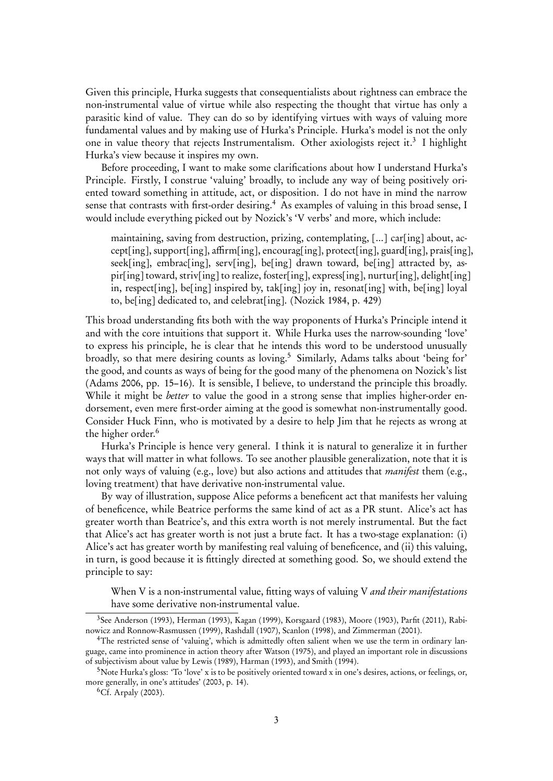Given this principle, Hurka suggests that consequentialists about rightness can embrace the non-instrumental value of virtue while also respecting the thought that virtue has only a parasitic kind of value. They can do so by identifying virtues with ways of valuing more fundamental values and by making use of Hurka's Principle. Hurka's model is not the only one in value theory that rejects Instrumentalism. Other axiologists reject it.<sup>3</sup> I highlight Hurka's view because it inspires my own.

Before proceeding, I want to make some clarifications about how I understand Hurka's Principle. Firstly, I construe 'valuing' broadly, to include any way of being positively oriented toward something in attitude, act, or disposition. I do not have in mind the narrow sense that contrasts with first-order desiring.<sup>4</sup> As examples of valuing in this broad sense, I would include everything picked out by Nozick's 'V verbs' and more, which include:

maintaining, saving from destruction, prizing, contemplating, [...] car[ing] about, accept[ing], support[ing], affirm[ing], encourag[ing], protect[ing], guard[ing], prais[ing], seek[ing], embrac[ing], serv[ing], be[ing] drawn toward, be[ing] attracted by, aspir[ing] toward, striv[ing] to realize, foster[ing], express[ing], nurtur[ing], delight[ing] in, respect [ing], be[ing] inspired by, tak[ing] joy in, resonat [ing] with, be[ing] loyal to, be[ing] dedicated to, and celebrat[ing]. (Nozick 1984, p. 429)

This broad understanding fits both with the way proponents of Hurka's Principle intend it and with the core intuitions that support it. While Hurka uses the narrow-sounding 'love' to express his principle, he is clear that he intends this word to be understood unusually broadly, so that mere desiring counts as loving.<sup>5</sup> Similarly, Adams talks about 'being for' the good, and counts as ways of being for the good many of the phenomena on Nozick's list (Adams 2006, pp. 15–16). It is sensible, I believe, to understand the principle this broadly. While it might be *better* to value the good in a strong sense that implies higher-order endorsement, even mere first-order aiming at the good is somewhat non-instrumentally good. Consider Huck Finn, who is motivated by a desire to help Jim that he rejects as wrong at the higher order.<sup>6</sup>

Hurka's Principle is hence very general. I think it is natural to generalize it in further ways that will matter in what follows. To see another plausible generalization, note that it is not only ways of valuing (e.g., love) but also actions and attitudes that *manifest* them (e.g., loving treatment) that have derivative non-instrumental value.

By way of illustration, suppose Alice peforms a beneficent act that manifests her valuing of beneficence, while Beatrice performs the same kind of act as a PR stunt. Alice's act has greater worth than Beatrice's, and this extra worth is not merely instrumental. But the fact that Alice's act has greater worth is not just a brute fact. It has a two-stage explanation: (i) Alice's act has greater worth by manifesting real valuing of beneficence, and (ii) this valuing, in turn, is good because it is fittingly directed at something good. So, we should extend the principle to say:

When V is a non-instrumental value, fitting ways of valuing V and their manifestations have some derivative non-instrumental value.

<sup>&</sup>lt;sup>3</sup>See Anderson (1993), Herman (1993), Kagan (1999), Korsgaard (1983), Moore (1903), Parfit (2011), Rabinowicz and Ronnow-Rasmussen (1999), Rashdall (1907), Scanlon (1998), and Zimmerman (2001).

<sup>&</sup>lt;sup>4</sup>The restricted sense of 'valuing', which is admittedly often salient when we use the term in ordinary language, came into prominence in action theory after Watson (1975), and played an important role in discussions of subjectivism about value by Lewis (1989), Harman (1993), and Smith (1994).

<sup>&</sup>lt;sup>5</sup>Note Hurka's gloss: 'To 'love' x is to be positively oriented toward x in one's desires, actions, or feelings, or, more generally, in one's attitudes' (2003, p. 14).

<sup>6</sup>Cf. Arpaly (2003).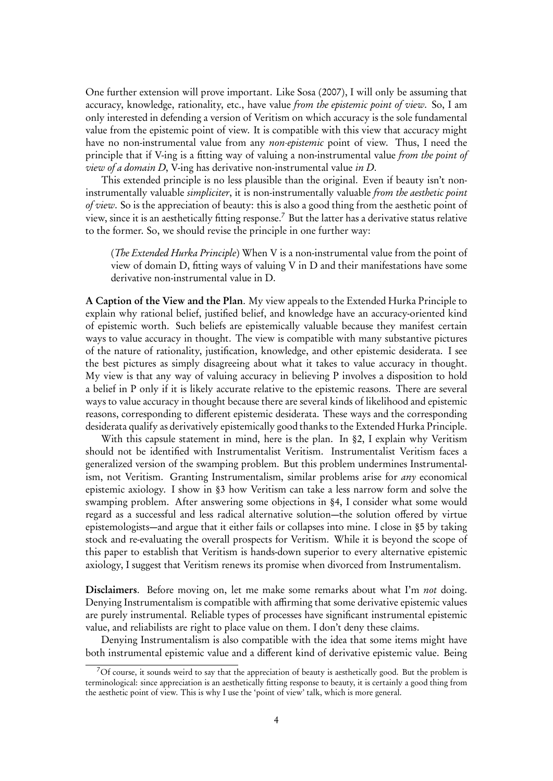One further extension will prove important. Like Sosa (2007), I will only be assuming that accuracy, knowledge, rationality, etc., have value from the epistemic point of view. So, I am only interested in defending a version of Veritism on which accuracy is the sole fundamental value from the epistemic point of view. It is compatible with this view that accuracy might have no non-instrumental value from any *non-epistemic* point of view. Thus, I need the principle that if V-ing is a fitting way of valuing a non-instrumental value from the point of view of a domain D, V-ing has derivative non-instrumental value in D.

This extended principle is no less plausible than the original. Even if beauty isn't noninstrumentally valuable *simpliciter*, it is non-instrumentally valuable *from the aesthetic point* of view. So is the appreciation of beauty: this is also a good thing from the aesthetic point of view, since it is an aesthetically fitting response.<sup>7</sup> But the latter has a derivative status relative to the former. So, we should revise the principle in one further way:

(The Extended Hurka Principle) When V is a non-instrumental value from the point of view of domain D, fitting ways of valuing V in D and their manifestations have some derivative non-instrumental value in D.

A Caption of the View and the Plan. My view appeals to the Extended Hurka Principle to explain why rational belief, justified belief, and knowledge have an accuracy-oriented kind of epistemic worth. Such beliefs are epistemically valuable because they manifest certain ways to value accuracy in thought. The view is compatible with many substantive pictures of the nature of rationality, justification, knowledge, and other epistemic desiderata. I see the best pictures as simply disagreeing about what it takes to value accuracy in thought. My view is that any way of valuing accuracy in believing P involves a disposition to hold a belief in P only if it is likely accurate relative to the epistemic reasons. There are several ways to value accuracy in thought because there are several kinds of likelihood and epistemic reasons, corresponding to different epistemic desiderata. These ways and the corresponding desiderata qualify as derivatively epistemically good thanks to the Extended Hurka Principle.

With this capsule statement in mind, here is the plan. In §2, I explain why Veritism should not be identified with Instrumentalist Veritism. Instrumentalist Veritism faces a generalized version of the swamping problem. But this problem undermines Instrumentalism, not Veritism. Granting Instrumentalism, similar problems arise for any economical epistemic axiology. I show in §3 how Veritism can take a less narrow form and solve the swamping problem. After answering some objections in §4, I consider what some would regard as a successful and less radical alternative solution—the solution offered by virtue epistemologists—and argue that it either fails or collapses into mine. I close in §5 by taking stock and re-evaluating the overall prospects for Veritism. While it is beyond the scope of this paper to establish that Veritism is hands-down superior to every alternative epistemic axiology, I suggest that Veritism renews its promise when divorced from Instrumentalism.

Disclaimers. Before moving on, let me make some remarks about what I'm not doing. Denying Instrumentalism is compatible with affirming that some derivative epistemic values are purely instrumental. Reliable types of processes have significant instrumental epistemic value, and reliabilists are right to place value on them. I don't deny these claims.

Denying Instrumentalism is also compatible with the idea that some items might have both instrumental epistemic value and a different kind of derivative epistemic value. Being

 $7$ Of course, it sounds weird to say that the appreciation of beauty is aesthetically good. But the problem is terminological: since appreciation is an aesthetically fitting response to beauty, it is certainly a good thing from the aesthetic point of view. This is why I use the 'point of view' talk, which is more general.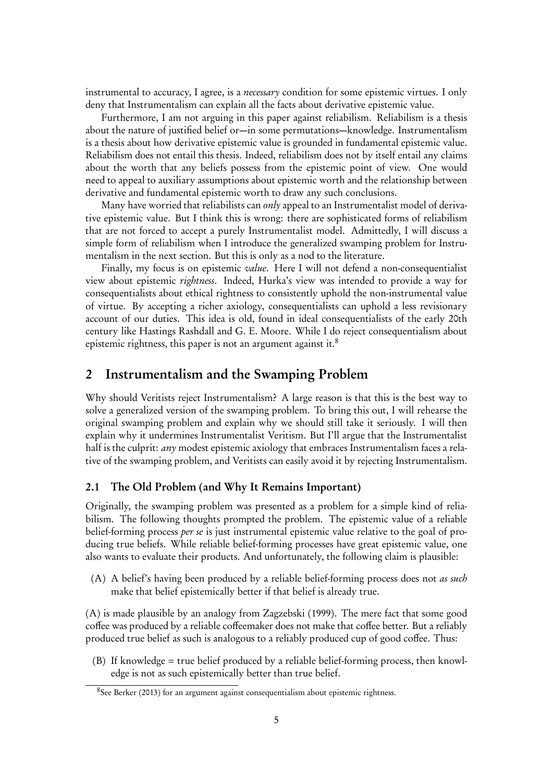instrumental to accuracy, I agree, is a *necessary* condition for some epistemic virtues. I only deny that Instrumentalism can explain all the facts about derivative epistemic value.

Furthermore, I am not arguing in this paper against reliabilism. Reliabilism is a thesis about the nature of justified belief or—in some permutations—knowledge. Instrumentalism is a thesis about how derivative epistemic value is grounded in fundamental epistemic value. Reliabilism does not entail this thesis. Indeed, reliabilism does not by itself entail any claims about the worth that any beliefs possess from the epistemic point of view. One would need to appeal to auxiliary assumptions about epistemic worth and the relationship between derivative and fundamental epistemic worth to draw any such conclusions.

Many have worried that reliabilists can *only* appeal to an Instrumentalist model of derivative epistemic value. But I think this is wrong: there are sophisticated forms of reliabilism that are not forced to accept a purely Instrumentalist model. Admittedly, I will discuss a simple form of reliabilism when I introduce the generalized swamping problem for Instrumentalism in the next section. But this is only as a nod to the literature.

Finally, my focus is on epistemic *value*. Here I will not defend a non-consequentialist view about epistemic rightness. Indeed, Hurka's view was intended to provide a way for consequentialists about ethical rightness to consistently uphold the non-instrumental value of virtue. By accepting a richer axiology, consequentialists can uphold a less revisionary account of our duties. This idea is old, found in ideal consequentialists of the early 20th century like Hastings Rashdall and G. E. Moore. While I do reject consequentialism about epistemic rightness, this paper is not an argument against it. $8$ 

## 2 Instrumentalism and the Swamping Problem

Why should Veritists reject Instrumentalism? A large reason is that this is the best way to solve a generalized version of the swamping problem. To bring this out, I will rehearse the original swamping problem and explain why we should still take it seriously. I will then explain why it undermines Instrumentalist Veritism. But I'll argue that the Instrumentalist half is the culprit: *any* modest epistemic axiology that embraces Instrumentalism faces a relative of the swamping problem, and Veritists can easily avoid it by rejecting Instrumentalism.

#### 2.1 The Old Problem (and Why It Remains Important)

Originally, the swamping problem was presented as a problem for a simple kind of reliabilism. The following thoughts prompted the problem. The epistemic value of a reliable belief-forming process per se is just instrumental epistemic value relative to the goal of producing true beliefs. While reliable belief-forming processes have great epistemic value, one also wants to evaluate their products. And unfortunately, the following claim is plausible:

(A) A belief's having been produced by a reliable belief-forming process does not as such make that belief epistemically better if that belief is already true.

(A) is made plausible by an analogy from Zagzebski (1999). The mere fact that some good coffee was produced by a reliable coffeemaker does not make that coffee better. But a reliably produced true belief as such is analogous to a reliably produced cup of good coffee. Thus:

(B) If knowledge = true belief produced by a reliable belief-forming process, then knowledge is not as such epistemically better than true belief.

<sup>&</sup>lt;sup>8</sup>See Berker (2013) for an argument against consequentialism about epistemic rightness.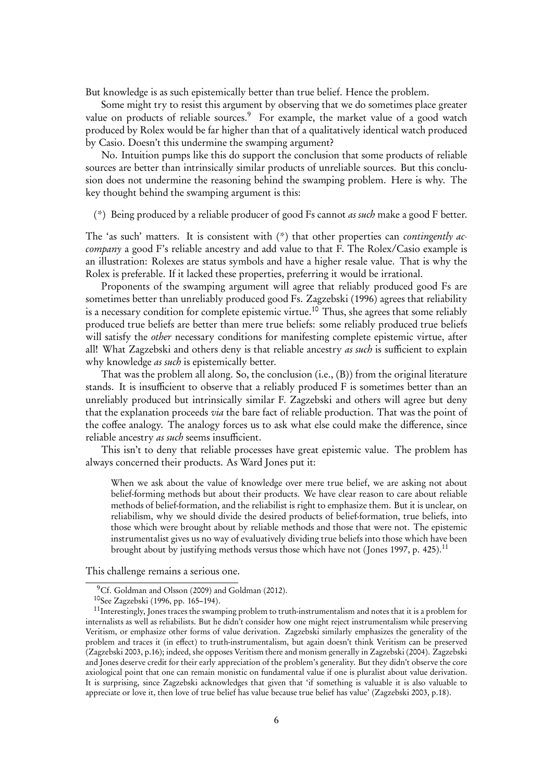But knowledge is as such epistemically better than true belief. Hence the problem.

Some might try to resist this argument by observing that we do sometimes place greater value on products of reliable sources.<sup>9</sup> For example, the market value of a good watch produced by Rolex would be far higher than that of a qualitatively identical watch produced by Casio. Doesn't this undermine the swamping argument?

No. Intuition pumps like this do support the conclusion that some products of reliable sources are better than intrinsically similar products of unreliable sources. But this conclusion does not undermine the reasoning behind the swamping problem. Here is why. The key thought behind the swamping argument is this:

(\*) Being produced by a reliable producer of good Fs cannot as such make a good F better.

The 'as such' matters. It is consistent with  $(*)$  that other properties can *contingently ac*company a good F's reliable ancestry and add value to that F. The Rolex/Casio example is an illustration: Rolexes are status symbols and have a higher resale value. That is why the Rolex is preferable. If it lacked these properties, preferring it would be irrational.

Proponents of the swamping argument will agree that reliably produced good Fs are sometimes better than unreliably produced good Fs. Zagzebski (1996) agrees that reliability is a necessary condition for complete epistemic virtue.<sup>10</sup> Thus, she agrees that some reliably produced true beliefs are better than mere true beliefs: some reliably produced true beliefs will satisfy the *other* necessary conditions for manifesting complete epistemic virtue, after all! What Zagzebski and others deny is that reliable ancestry as such is sufficient to explain why knowledge *as such* is epistemically better.

That was the problem all along. So, the conclusion (i.e., (B)) from the original literature stands. It is insufficient to observe that a reliably produced F is sometimes better than an unreliably produced but intrinsically similar F. Zagzebski and others will agree but deny that the explanation proceeds *via* the bare fact of reliable production. That was the point of the coffee analogy. The analogy forces us to ask what else could make the difference, since reliable ancestry as such seems insufficient.

This isn't to deny that reliable processes have great epistemic value. The problem has always concerned their products. As Ward Jones put it:

When we ask about the value of knowledge over mere true belief, we are asking not about belief-forming methods but about their products. We have clear reason to care about reliable methods of belief-formation, and the reliabilist is right to emphasize them. But it is unclear, on reliabilism, why we should divide the desired products of belief-formation, true beliefs, into those which were brought about by reliable methods and those that were not. The epistemic instrumentalist gives us no way of evaluatively dividing true beliefs into those which have been brought about by justifying methods versus those which have not (Jones 1997, p. 425).<sup>11</sup>

This challenge remains a serious one.

<sup>&</sup>lt;sup>9</sup>Cf. Goldman and Olsson (2009) and Goldman (2012).

<sup>10</sup>See Zagzebski (1996, pp. 165–194).

 $11$ Interestingly, Jones traces the swamping problem to truth-instrumentalism and notes that it is a problem for internalists as well as reliabilists. But he didn't consider how one might reject instrumentalism while preserving Veritism, or emphasize other forms of value derivation. Zagzebski similarly emphasizes the generality of the problem and traces it (in effect) to truth-instrumentalism, but again doesn't think Veritism can be preserved (Zagzebski 2003, p.16); indeed, she opposes Veritism there and monism generally in Zagzebski (2004). Zagzebski and Jones deserve credit for their early appreciation of the problem's generality. But they didn't observe the core axiological point that one can remain monistic on fundamental value if one is pluralist about value derivation. It is surprising, since Zagzebski acknowledges that given that 'if something is valuable it is also valuable to appreciate or love it, then love of true belief has value because true belief has value' (Zagzebski 2003, p.18).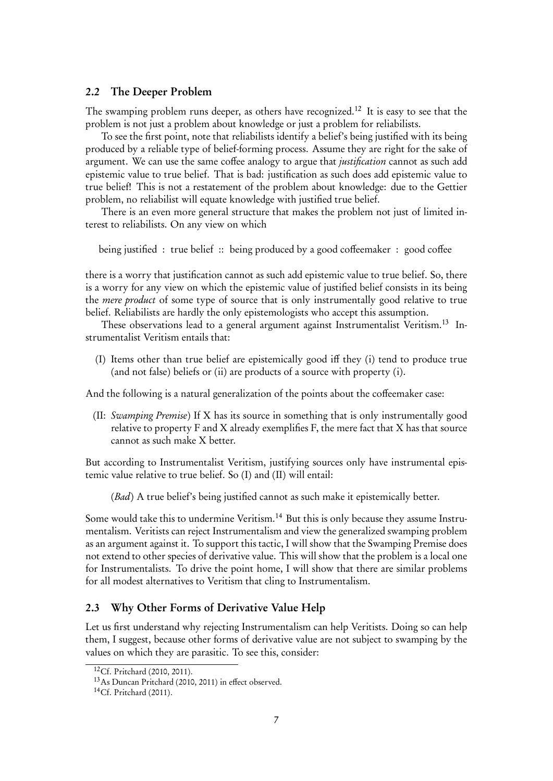#### 2.2 The Deeper Problem

The swamping problem runs deeper, as others have recognized.<sup>12</sup> It is easy to see that the problem is not just a problem about knowledge or just a problem for reliabilists.

To see the first point, note that reliabilists identify a belief's being justified with its being produced by a reliable type of belief-forming process. Assume they are right for the sake of argument. We can use the same coffee analogy to argue that *justification* cannot as such add epistemic value to true belief. That is bad: justification as such does add epistemic value to true belief! This is not a restatement of the problem about knowledge: due to the Gettier problem, no reliabilist will equate knowledge with justified true belief.

There is an even more general structure that makes the problem not just of limited interest to reliabilists. On any view on which

being justified : true belief :: being produced by a good coffeemaker : good coffee

there is a worry that justification cannot as such add epistemic value to true belief. So, there is a worry for any view on which the epistemic value of justified belief consists in its being the *mere product* of some type of source that is only instrumentally good relative to true belief. Reliabilists are hardly the only epistemologists who accept this assumption.

These observations lead to a general argument against Instrumentalist Veritism.<sup>13</sup> Instrumentalist Veritism entails that:

( I) Items other than true belief are epistemically good iff they (i) tend to produce true (and not false) beliefs or (ii) are products of a source with property (i).

And the following is a natural generalization of the points about the coffeemaker case:

( II: Swamping Premise) If X has its source in something that is only instrumentally good relative to property  $F$  and  $X$  already exemplifies  $F$ , the mere fact that  $X$  has that source cannot as such make X better.

But according to Instrumentalist Veritism, justifying sources only have instrumental epistemic value relative to true belief. So  $(I)$  and  $(II)$  will entail:

(Bad) A true belief's being justified cannot as such make it epistemically better.

Some would take this to undermine Veritism.<sup>14</sup> But this is only because they assume Instrumentalism. Veritists can reject Instrumentalism and view the generalized swamping problem as an argument against it. To support this tactic, I will show that the Swamping Premise does not extend to other species of derivative value. This will show that the problem is a local one for Instrumentalists. To drive the point home, I will show that there are similar problems for all modest alternatives to Veritism that cling to Instrumentalism.

#### 2.3 Why Other Forms of Derivative Value Help

Let us first understand why rejecting Instrumentalism can help Veritists. Doing so can help them, I suggest, because other forms of derivative value are not subject to swamping by the values on which they are parasitic. To see this, consider:

<sup>12</sup>Cf. Pritchard (2010, 2011).

<sup>13</sup>As Duncan Pritchard (2010, 2011) in effect observed.

 ${}^{14}$ Cf. Pritchard (2011).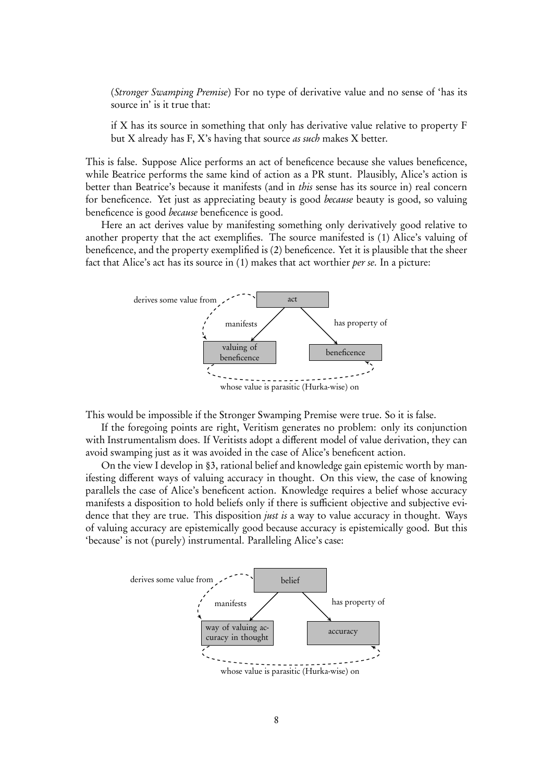(Stronger Swamping Premise) For no type of derivative value and no sense of 'has its source in' is it true that:

if X has its source in something that only has derivative value relative to property F but X already has F, X's having that source *as such* makes X better.

This is false. Suppose Alice performs an act of beneficence because she values beneficence, while Beatrice performs the same kind of action as a PR stunt. Plausibly, Alice's action is better than Beatrice's because it manifests (and in this sense has its source in) real concern for beneficence. Yet just as appreciating beauty is good *because* beauty is good, so valuing beneficence is good because beneficence is good.

Here an act derives value by manifesting something only derivatively good relative to another property that the act exemplifies. The source manifested is (1) Alice's valuing of beneficence, and the property exemplified is (2) beneficence. Yet it is plausible that the sheer fact that Alice's act has its source in (1) makes that act worthier per se. In a picture:



This would be impossible if the Stronger Swamping Premise were true. So it is false.

If the foregoing points are right, Veritism generates no problem: only its conjunction with Instrumentalism does. If Veritists adopt a different model of value derivation, they can avoid swamping just as it was avoided in the case of Alice's beneficent action.

On the view I develop in §3, rational belief and knowledge gain epistemic worth by manifesting different ways of valuing accuracy in thought. On this view, the case of knowing parallels the case of Alice's beneficent action. Knowledge requires a belief whose accuracy manifests a disposition to hold beliefs only if there is sufficient objective and subjective evidence that they are true. This disposition *just is* a way to value accuracy in thought. Ways of valuing accuracy are epistemically good because accuracy is epistemically good. But this 'because' is not (purely) instrumental. Paralleling Alice's case:

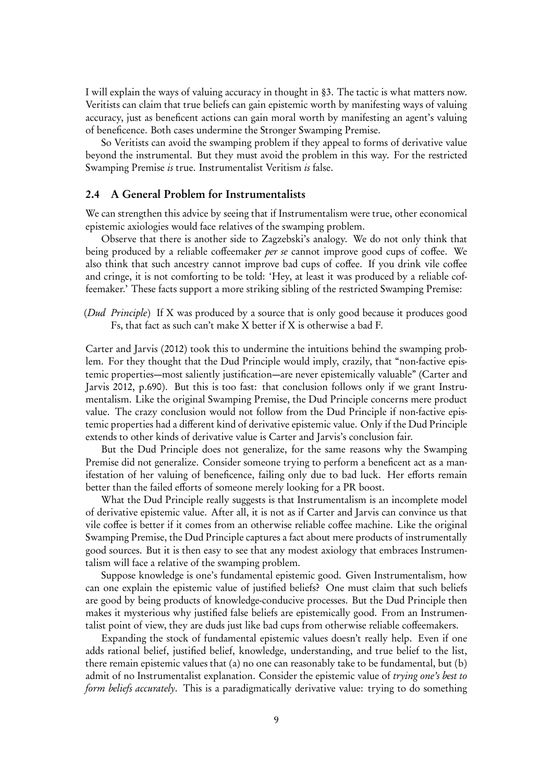I will explain the ways of valuing accuracy in thought in §3. The tactic is what matters now. Veritists can claim that true beliefs can gain epistemic worth by manifesting ways of valuing accuracy, just as beneficent actions can gain moral worth by manifesting an agent's valuing of beneficence. Both cases undermine the Stronger Swamping Premise.

So Veritists can avoid the swamping problem if they appeal to forms of derivative value beyond the instrumental. But they must avoid the problem in this way. For the restricted Swamping Premise is true. Instrumentalist Veritism is false.

#### 2.4 A General Problem for Instrumentalists

We can strengthen this advice by seeing that if Instrumentalism were true, other economical epistemic axiologies would face relatives of the swamping problem.

Observe that there is another side to Zagzebski's analogy. We do not only think that being produced by a reliable coffeemaker *per se* cannot improve good cups of coffee. We also think that such ancestry cannot improve bad cups of coffee. If you drink vile coffee and cringe, it is not comforting to be told: 'Hey, at least it was produced by a reliable coffeemaker.' These facts support a more striking sibling of the restricted Swamping Premise:

(Dud Principle) If X was produced by a source that is only good because it produces good Fs, that fact as such can't make X better if X is otherwise a bad F.

Carter and Jarvis (2012) took this to undermine the intuitions behind the swamping problem. For they thought that the Dud Principle would imply, crazily, that "non-factive epistemic properties—most saliently justification—are never epistemically valuable" (Carter and Jarvis 2012, p.690). But this is too fast: that conclusion follows only if we grant Instrumentalism. Like the original Swamping Premise, the Dud Principle concerns mere product value. The crazy conclusion would not follow from the Dud Principle if non-factive epistemic properties had a different kind of derivative epistemic value. Only if the Dud Principle extends to other kinds of derivative value is Carter and Jarvis's conclusion fair.

But the Dud Principle does not generalize, for the same reasons why the Swamping Premise did not generalize. Consider someone trying to perform a beneficent act as a manifestation of her valuing of beneficence, failing only due to bad luck. Her efforts remain better than the failed efforts of someone merely looking for a PR boost.

What the Dud Principle really suggests is that Instrumentalism is an incomplete model of derivative epistemic value. After all, it is not as if Carter and Jarvis can convince us that vile coffee is better if it comes from an otherwise reliable coffee machine. Like the original Swamping Premise, the Dud Principle captures a fact about mere products of instrumentally good sources. But it is then easy to see that any modest axiology that embraces Instrumentalism will face a relative of the swamping problem.

Suppose knowledge is one's fundamental epistemic good. Given Instrumentalism, how can one explain the epistemic value of justified beliefs? One must claim that such beliefs are good by being products of knowledge-conducive processes. But the Dud Principle then makes it mysterious why justified false beliefs are epistemically good. From an Instrumentalist point of view, they are duds just like bad cups from otherwise reliable coffeemakers.

Expanding the stock of fundamental epistemic values doesn't really help. Even if one adds rational belief, justified belief, knowledge, understanding, and true belief to the list, there remain epistemic values that (a) no one can reasonably take to be fundamental, but (b) admit of no Instrumentalist explanation. Consider the epistemic value of trying one's best to form beliefs accurately. This is a paradigmatically derivative value: trying to do something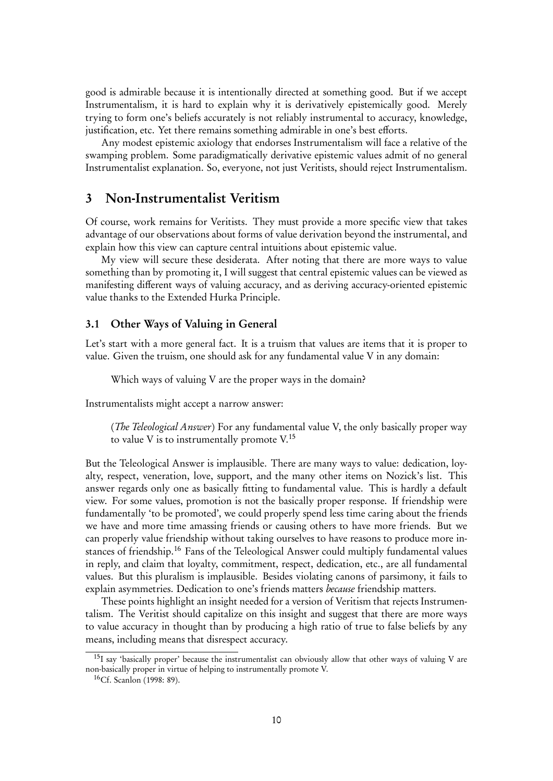good is admirable because it is intentionally directed at something good. But if we accept Instrumentalism, it is hard to explain why it is derivatively epistemically good. Merely trying to form one's beliefs accurately is not reliably instrumental to accuracy, knowledge, justification, etc. Yet there remains something admirable in one's best efforts.

Any modest epistemic axiology that endorses Instrumentalism will face a relative of the swamping problem. Some paradigmatically derivative epistemic values admit of no general Instrumentalist explanation. So, everyone, not just Veritists, should reject Instrumentalism.

## 3 Non-Instrumentalist Veritism

Of course, work remains for Veritists. They must provide a more specific view that takes advantage of our observations about forms of value derivation beyond the instrumental, and explain how this view can capture central intuitions about epistemic value.

My view will secure these desiderata. After noting that there are more ways to value something than by promoting it, I will suggest that central epistemic values can be viewed as manifesting different ways of valuing accuracy, and as deriving accuracy-oriented epistemic value thanks to the Extended Hurka Principle.

#### 3.1 Other Ways of Valuing in General

Let's start with a more general fact. It is a truism that values are items that it is proper to value. Given the truism, one should ask for any fundamental value V in any domain:

Which ways of valuing V are the proper ways in the domain?

Instrumentalists might accept a narrow answer:

(*The Teleological Answer*) For any fundamental value V, the only basically proper way to value V is to instrumentally promote V.<sup>15</sup>

But the Teleological Answer is implausible. There are many ways to value: dedication, loyalty, respect, veneration, love, support, and the many other items on Nozick's list. This answer regards only one as basically fitting to fundamental value. This is hardly a default view. For some values, promotion is not the basically proper response. If friendship were fundamentally 'to be promoted', we could properly spend less time caring about the friends we have and more time amassing friends or causing others to have more friends. But we can properly value friendship without taking ourselves to have reasons to produce more instances of friendship.<sup>16</sup> Fans of the Teleological Answer could multiply fundamental values in reply, and claim that loyalty, commitment, respect, dedication, etc., are all fundamental values. But this pluralism is implausible. Besides violating canons of parsimony, it fails to explain asymmetries. Dedication to one's friends matters because friendship matters.

These points highlight an insight needed for a version of Veritism that rejects Instrumentalism. The Veritist should capitalize on this insight and suggest that there are more ways to value accuracy in thought than by producing a high ratio of true to false beliefs by any means, including means that disrespect accuracy.

<sup>&</sup>lt;sup>15</sup>I say 'basically proper' because the instrumentalist can obviously allow that other ways of valuing V are non-basically proper in virtue of helping to instrumentally promote V.

<sup>16</sup>Cf. Scanlon (1998: 89).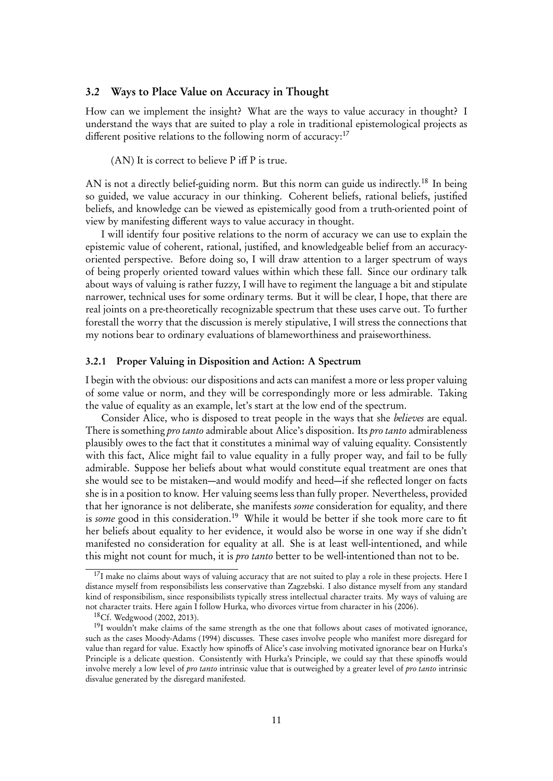#### 3.2 Ways to Place Value on Accuracy in Thought

How can we implement the insight? What are the ways to value accuracy in thought? I understand the ways that are suited to play a role in traditional epistemological projects as different positive relations to the following norm of accuracy:<sup>17</sup>

#### (AN) It is correct to believe P iff P is true.

AN is not a directly belief-guiding norm. But this norm can guide us indirectly.<sup>18</sup> In being so guided, we value accuracy in our thinking. Coherent beliefs, rational beliefs, justified beliefs, and knowledge can be viewed as epistemically good from a truth-oriented point of view by manifesting different ways to value accuracy in thought.

I will identify four positive relations to the norm of accuracy we can use to explain the epistemic value of coherent, rational, justified, and knowledgeable belief from an accuracyoriented perspective. Before doing so, I will draw attention to a larger spectrum of ways of being properly oriented toward values within which these fall. Since our ordinary talk about ways of valuing is rather fuzzy, I will have to regiment the language a bit and stipulate narrower, technical uses for some ordinary terms. But it will be clear, I hope, that there are real joints on a pre-theoretically recognizable spectrum that these uses carve out. To further forestall the worry that the discussion is merely stipulative, I will stress the connections that my notions bear to ordinary evaluations of blameworthiness and praiseworthiness.

#### 3.2.1 Proper Valuing in Disposition and Action: A Spectrum

I begin with the obvious: our dispositions and acts can manifest a more or less proper valuing of some value or norm, and they will be correspondingly more or less admirable. Taking the value of equality as an example, let's start at the low end of the spectrum.

Consider Alice, who is disposed to treat people in the ways that she *believes* are equal. There is something pro tanto admirable about Alice's disposition. Its pro tanto admirableness plausibly owes to the fact that it constitutes a minimal way of valuing equality. Consistently with this fact, Alice might fail to value equality in a fully proper way, and fail to be fully admirable. Suppose her beliefs about what would constitute equal treatment are ones that she would see to be mistaken—and would modify and heed—if she reflected longer on facts she is in a position to know. Her valuing seems less than fully proper. Nevertheless, provided that her ignorance is not deliberate, she manifests some consideration for equality, and there is some good in this consideration.<sup>19</sup> While it would be better if she took more care to fit her beliefs about equality to her evidence, it would also be worse in one way if she didn't manifested no consideration for equality at all. She is at least well-intentioned, and while this might not count for much, it is pro tanto better to be well-intentioned than not to be.

 $17$ I make no claims about ways of valuing accuracy that are not suited to play a role in these projects. Here I distance myself from responsibilists less conservative than Zagzebski. I also distance myself from any standard kind of responsibilism, since responsibilists typically stress intellectual character traits. My ways of valuing are not character traits. Here again I follow Hurka, who divorces virtue from character in his (2006).

<sup>18</sup>Cf. Wedgwood (2002, 2013).

 $19I$  wouldn't make claims of the same strength as the one that follows about cases of motivated ignorance, such as the cases Moody-Adams (1994) discusses. These cases involve people who manifest more disregard for value than regard for value. Exactly how spinoffs of Alice's case involving motivated ignorance bear on Hurka's Principle is a delicate question. Consistently with Hurka's Principle, we could say that these spinoffs would involve merely a low level of pro tanto intrinsic value that is outweighed by a greater level of pro tanto intrinsic disvalue generated by the disregard manifested.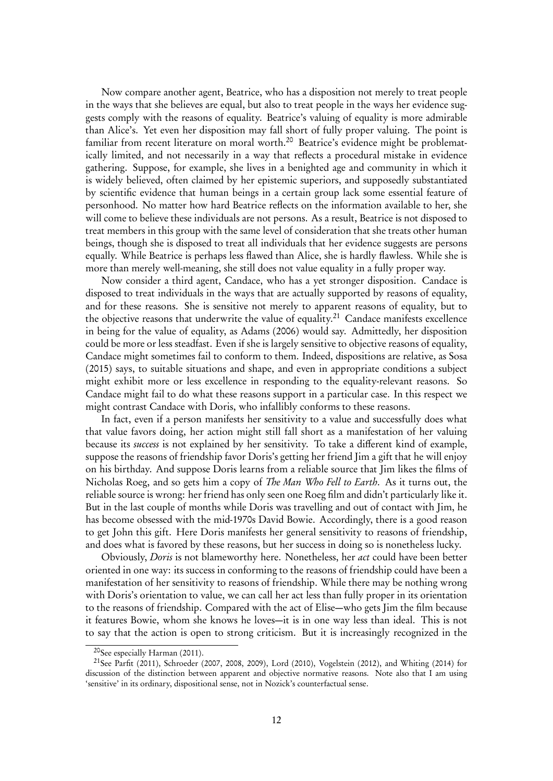Now compare another agent, Beatrice, who has a disposition not merely to treat people in the ways that she believes are equal, but also to treat people in the ways her evidence suggests comply with the reasons of equality. Beatrice's valuing of equality is more admirable than Alice's. Yet even her disposition may fall short of fully proper valuing. The point is familiar from recent literature on moral worth.<sup>20</sup> Beatrice's evidence might be problematically limited, and not necessarily in a way that reflects a procedural mistake in evidence gathering. Suppose, for example, she lives in a benighted age and community in which it is widely believed, often claimed by her epistemic superiors, and supposedly substantiated by scientific evidence that human beings in a certain group lack some essential feature of personhood. No matter how hard Beatrice reflects on the information available to her, she will come to believe these individuals are not persons. As a result, Beatrice is not disposed to treat members in this group with the same level of consideration that she treats other human beings, though she is disposed to treat all individuals that her evidence suggests are persons equally. While Beatrice is perhaps less flawed than Alice, she is hardly flawless. While she is more than merely well-meaning, she still does not value equality in a fully proper way.

Now consider a third agent, Candace, who has a yet stronger disposition. Candace is disposed to treat individuals in the ways that are actually supported by reasons of equality, and for these reasons. She is sensitive not merely to apparent reasons of equality, but to the objective reasons that underwrite the value of equality.<sup>21</sup> Candace manifests excellence in being for the value of equality, as Adams (2006) would say. Admittedly, her disposition could be more or less steadfast. Even if she is largely sensitive to objective reasons of equality, Candace might sometimes fail to conform to them. Indeed, dispositions are relative, as Sosa (2015) says, to suitable situations and shape, and even in appropriate conditions a subject might exhibit more or less excellence in responding to the equality-relevant reasons. So Candace might fail to do what these reasons support in a particular case. In this respect we might contrast Candace with Doris, who infallibly conforms to these reasons.

In fact, even if a person manifests her sensitivity to a value and successfully does what that value favors doing, her action might still fall short as a manifestation of her valuing because its success is not explained by her sensitivity. To take a different kind of example, suppose the reasons of friendship favor Doris's getting her friend Jim a gift that he will enjoy on his birthday. And suppose Doris learns from a reliable source that Jim likes the films of Nicholas Roeg, and so gets him a copy of The Man Who Fell to Earth. As it turns out, the reliable source is wrong: her friend has only seen one Roeg film and didn't particularly like it. But in the last couple of months while Doris was travelling and out of contact with Jim, he has become obsessed with the mid-1970s David Bowie. Accordingly, there is a good reason to get John this gift. Here Doris manifests her general sensitivity to reasons of friendship, and does what is favored by these reasons, but her success in doing so is nonetheless lucky.

Obviously, Doris is not blameworthy here. Nonetheless, her act could have been better oriented in one way: its success in conforming to the reasons of friendship could have been a manifestation of her sensitivity to reasons of friendship. While there may be nothing wrong with Doris's orientation to value, we can call her act less than fully proper in its orientation to the reasons of friendship. Compared with the act of Elise—who gets Jim the film because it features Bowie, whom she knows he loves—it is in one way less than ideal. This is not to say that the action is open to strong criticism. But it is increasingly recognized in the

<sup>20</sup>See especially Harman (2011).

<sup>&</sup>lt;sup>21</sup>See Parfit (2011), Schroeder (2007, 2008, 2009), Lord (2010), Vogelstein (2012), and Whiting (2014) for discussion of the distinction between apparent and objective normative reasons. Note also that I am using 'sensitive' in its ordinary, dispositional sense, not in Nozick's counterfactual sense.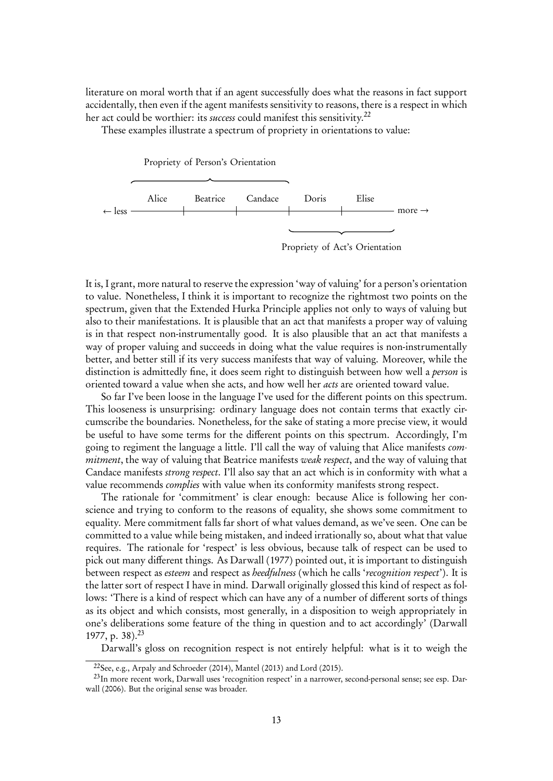literature on moral worth that if an agent successfully does what the reasons in fact support accidentally, then even if the agent manifests sensitivity to reasons, there is a respect in which her act could be worthier: its *success* could manifest this sensitivity.<sup>22</sup>

These examples illustrate a spectrum of propriety in orientations to value:

Propriety of Person's Orientation



Propriety of Act's Orientation

It is, I grant, more natural to reserve the expression 'way of valuing' for a person's orientation to value. Nonetheless, I think it is important to recognize the rightmost two points on the spectrum, given that the Extended Hurka Principle applies not only to ways of valuing but also to their manifestations. It is plausible that an act that manifests a proper way of valuing is in that respect non-instrumentally good. It is also plausible that an act that manifests a way of proper valuing and succeeds in doing what the value requires is non-instrumentally better, and better still if its very success manifests that way of valuing. Moreover, while the distinction is admittedly fine, it does seem right to distinguish between how well a *person* is oriented toward a value when she acts, and how well her acts are oriented toward value.

So far I've been loose in the language I've used for the different points on this spectrum. This looseness is unsurprising: ordinary language does not contain terms that exactly circumscribe the boundaries. Nonetheless, for the sake of stating a more precise view, it would be useful to have some terms for the different points on this spectrum. Accordingly, I'm going to regiment the language a little. I'll call the way of valuing that Alice manifests commitment, the way of valuing that Beatrice manifests weak respect, and the way of valuing that Candace manifests strong respect. I'll also say that an act which is in conformity with what a value recommends complies with value when its conformity manifests strong respect.

The rationale for 'commitment' is clear enough: because Alice is following her conscience and trying to conform to the reasons of equality, she shows some commitment to equality. Mere commitment falls far short of what values demand, as we've seen. One can be committed to a value while being mistaken, and indeed irrationally so, about what that value requires. The rationale for 'respect' is less obvious, because talk of respect can be used to pick out many different things. As Darwall (1977) pointed out, it is important to distinguish between respect as esteem and respect as heedfulness (which he calls 'recognition respect'). It is the latter sort of respect I have in mind. Darwall originally glossed this kind of respect as follows: 'There is a kind of respect which can have any of a number of different sorts of things as its object and which consists, most generally, in a disposition to weigh appropriately in one's deliberations some feature of the thing in question and to act accordingly' (Darwall 1977, p. 38).  $^{23}$ 

Darwall's gloss on recognition respect is not entirely helpful: what is it to weigh the

<sup>22</sup>See, e.g., Arpaly and Schroeder (2014), Mantel (2013) and Lord (2015).

<sup>&</sup>lt;sup>23</sup>In more recent work, Darwall uses 'recognition respect' in a narrower, second-personal sense; see esp. Darwall (2006). But the original sense was broader.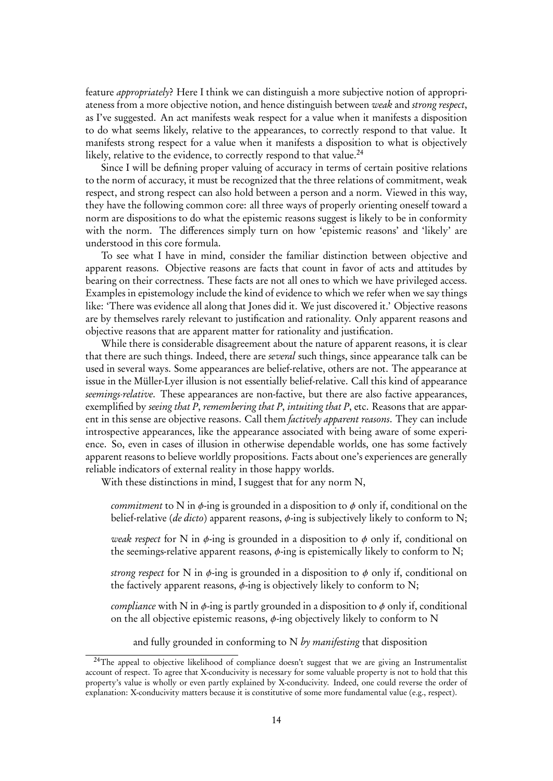feature appropriately? Here I think we can distinguish a more subjective notion of appropriateness from a more objective notion, and hence distinguish between *weak* and *strong respect*, as I've suggested. An act manifests weak respect for a value when it manifests a disposition to do what seems likely, relative to the appearances, to correctly respond to that value. It manifests strong respect for a value when it manifests a disposition to what is objectively likely, relative to the evidence, to correctly respond to that value.<sup>24</sup>

Since I will be defining proper valuing of accuracy in terms of certain positive relations to the norm of accuracy, it must be recognized that the three relations of commitment, weak respect, and strong respect can also hold between a person and a norm. Viewed in this way, they have the following common core: all three ways of properly orienting oneself toward a norm are dispositions to do what the epistemic reasons suggest is likely to be in conformity with the norm. The differences simply turn on how 'epistemic reasons' and 'likely' are understood in this core formula.

To see what I have in mind, consider the familiar distinction between objective and apparent reasons. Objective reasons are facts that count in favor of acts and attitudes by bearing on their correctness. These facts are not all ones to which we have privileged access. Examples in epistemology include the kind of evidence to which we refer when we say things like: 'There was evidence all along that Jones did it. We just discovered it.' Objective reasons are by themselves rarely relevant to justification and rationality. Only apparent reasons and objective reasons that are apparent matter for rationality and justification.

While there is considerable disagreement about the nature of apparent reasons, it is clear that there are such things. Indeed, there are *several* such things, since appearance talk can be used in several ways. Some appearances are belief-relative, others are not. The appearance at issue in the Müller-Lyer illusion is not essentially belief-relative. Call this kind of appearance seemings-relative. These appearances are non-factive, but there are also factive appearances, exemplified by seeing that P, remembering that P, intuiting that P, etc. Reasons that are apparent in this sense are objective reasons. Call them factively apparent reasons. They can include introspective appearances, like the appearance associated with being aware of some experience. So, even in cases of illusion in otherwise dependable worlds, one has some factively apparent reasons to believe worldly propositions. Facts about one's experiences are generally reliable indicators of external reality in those happy worlds.

With these distinctions in mind, I suggest that for any norm N,

commitment to N in  $\phi$ -ing is grounded in a disposition to  $\phi$  only if, conditional on the belief-relative (*de dicto*) apparent reasons,  $\phi$ -ing is subjectively likely to conform to N;

weak respect for N in  $\phi$ -ing is grounded in a disposition to  $\phi$  only if, conditional on the seemings-relative apparent reasons,  $\phi$ -ing is epistemically likely to conform to N;

strong respect for N in  $\phi$ -ing is grounded in a disposition to  $\phi$  only if, conditional on the factively apparent reasons,  $\phi$ -ing is objectively likely to conform to N;

*compliance* with N in  $\phi$ -ing is partly grounded in a disposition to  $\phi$  only if, conditional on the all objective epistemic reasons,  $\phi$ -ing objectively likely to conform to N

and fully grounded in conforming to  $N$  by manifesting that disposition

<sup>&</sup>lt;sup>24</sup>The appeal to objective likelihood of compliance doesn't suggest that we are giving an Instrumentalist account of respect. To agree that X-conducivity is necessary for some valuable property is not to hold that this property's value is wholly or even partly explained by X-conducivity. Indeed, one could reverse the order of explanation: X-conducivity matters because it is constitutive of some more fundamental value (e.g., respect).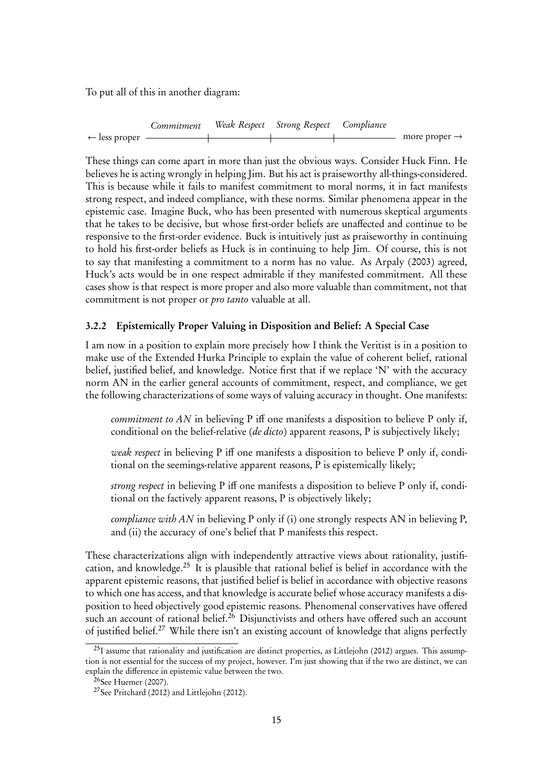To put all of this in another diagram:



These things can come apart in more than just the obvious ways. Consider Huck Finn. He believes he is acting wrongly in helping Jim. But his act is praiseworthy all-things-considered. This is because while it fails to manifest commitment to moral norms, it in fact manifests strong respect, and indeed compliance, with these norms. Similar phenomena appear in the epistemic case. Imagine Buck, who has been presented with numerous skeptical arguments that he takes to be decisive, but whose first-order beliefs are unaffected and continue to be responsive to the first-order evidence. Buck is intuitively just as praiseworthy in continuing to hold his first-order beliefs as Huck is in continuing to help Jim. Of course, this is not to say that manifesting a commitment to a norm has no value. As Arpaly (2003) agreed, Huck's acts would be in one respect admirable if they manifested commitment. All these cases show is that respect is more proper and also more valuable than commitment, not that commitment is not proper or *pro tanto* valuable at all.

#### 3.2.2 Epistemically Proper Valuing in Disposition and Belief: A Special Case

I am now in a position to explain more precisely how I think the Veritist is in a position to make use of the Extended Hurka Principle to explain the value of coherent belief, rational belief, justified belief, and knowledge. Notice first that if we replace 'N' with the accuracy norm AN in the earlier general accounts of commitment, respect, and compliance, we get the following characterizations of some ways of valuing accuracy in thought. One manifests:

*commitment to AN* in believing P iff one manifests a disposition to believe P only if, conditional on the belief-relative (*de dicto*) apparent reasons, P is subjectively likely;

weak respect in believing P iff one manifests a disposition to believe P only if, conditional on the seemings-relative apparent reasons, P is epistemically likely;

strong respect in believing P iff one manifests a disposition to believe P only if, conditional on the factively apparent reasons, P is objectively likely;

*compliance with AN* in believing P only if (i) one strongly respects AN in believing P, and (ii) the accuracy of one's belief that P manifests this respect.

These characterizations align with independently attractive views about rationality, justification, and knowledge.<sup>25</sup> It is plausible that rational belief is belief in accordance with the apparent epistemic reasons, that justified belief is belief in accordance with objective reasons to which one has access, and that knowledge is accurate belief whose accuracy manifests a disposition to heed objectively good epistemic reasons. Phenomenal conservatives have offered such an account of rational belief.<sup>26</sup> Disjunctivists and others have offered such an account of justified belief.<sup>27</sup> While there isn't an existing account of knowledge that aligns perfectly

<sup>&</sup>lt;sup>25</sup>I assume that rationality and justification are distinct properties, as Littlejohn (2012) argues. This assumption is not essential for the success of my project, however. I'm just showing that if the two are distinct, we can explain the difference in epistemic value between the two.

<sup>&</sup>lt;sup>26</sup>See Huemer (2007).

<sup>27</sup>See Pritchard (2012) and Littlejohn (2012).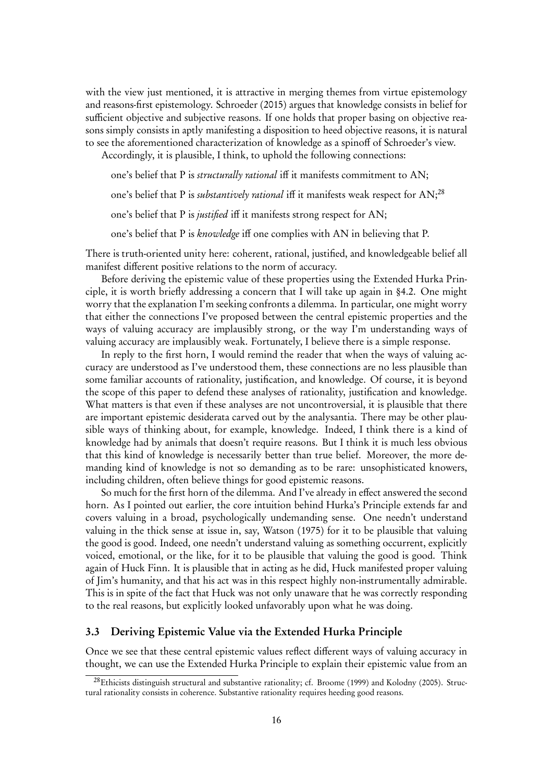with the view just mentioned, it is attractive in merging themes from virtue epistemology and reasons-first epistemology. Schroeder (2015) argues that knowledge consists in belief for sufficient objective and subjective reasons. If one holds that proper basing on objective reasons simply consists in aptly manifesting a disposition to heed objective reasons, it is natural to see the aforementioned characterization of knowledge as a spinoff of Schroeder's view.

Accordingly, it is plausible, I think, to uphold the following connections:

one's belief that P is *structurally rational* iff it manifests commitment to AN;

one's belief that P is substantively rational iff it manifests weak respect for AN;<sup>28</sup>

one's belief that P is justified iff it manifests strong respect for AN;

one's belief that P is knowledge iff one complies with AN in believing that P.

There is truth-oriented unity here: coherent, rational, justified, and knowledgeable belief all manifest different positive relations to the norm of accuracy.

Before deriving the epistemic value of these properties using the Extended Hurka Principle, it is worth briefly addressing a concern that I will take up again in §4.2. One might worry that the explanation I'm seeking confronts a dilemma. In particular, one might worry that either the connections I've proposed between the central epistemic properties and the ways of valuing accuracy are implausibly strong, or the way I'm understanding ways of valuing accuracy are implausibly weak. Fortunately, I believe there is a simple response.

In reply to the first horn, I would remind the reader that when the ways of valuing accuracy are understood as I've understood them, these connections are no less plausible than some familiar accounts of rationality, justification, and knowledge. Of course, it is beyond the scope of this paper to defend these analyses of rationality, justification and knowledge. What matters is that even if these analyses are not uncontroversial, it is plausible that there are important epistemic desiderata carved out by the analysantia. There may be other plausible ways of thinking about, for example, knowledge. Indeed, I think there is a kind of knowledge had by animals that doesn't require reasons. But I think it is much less obvious that this kind of knowledge is necessarily better than true belief. Moreover, the more demanding kind of knowledge is not so demanding as to be rare: unsophisticated knowers, including children, often believe things for good epistemic reasons.

So much for the first horn of the dilemma. And I've already in effect answered the second horn. As I pointed out earlier, the core intuition behind Hurka's Principle extends far and covers valuing in a broad, psychologically undemanding sense. One needn't understand valuing in the thick sense at issue in, say, Watson (1975) for it to be plausible that valuing the good is good. Indeed, one needn't understand valuing as something occurrent, explicitly voiced, emotional, or the like, for it to be plausible that valuing the good is good. Think again of Huck Finn. It is plausible that in acting as he did, Huck manifested proper valuing of Jim's humanity, and that his act was in this respect highly non-instrumentally admirable. This is in spite of the fact that Huck was not only unaware that he was correctly responding to the real reasons, but explicitly looked unfavorably upon what he was doing.

#### 3.3 Deriving Epistemic Value via the Extended Hurka Principle

Once we see that these central epistemic values reflect different ways of valuing accuracy in thought, we can use the Extended Hurka Principle to explain their epistemic value from an

<sup>28</sup>Ethicists distinguish structural and substantive rationality; cf. Broome (1999) and Kolodny (2005). Structural rationality consists in coherence. Substantive rationality requires heeding good reasons.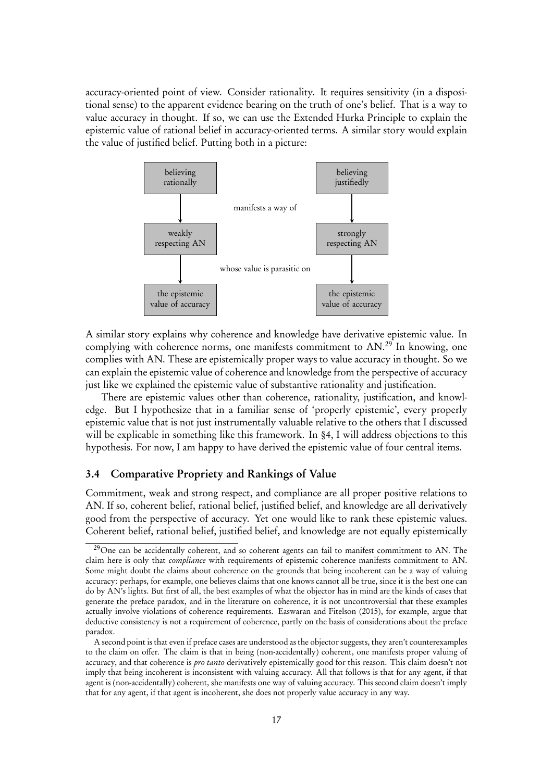accuracy-oriented point of view. Consider rationality. It requires sensitivity (in a dispositional sense) to the apparent evidence bearing on the truth of one's belief. That is a way to value accuracy in thought. If so, we can use the Extended Hurka Principle to explain the epistemic value of rational belief in accuracy-oriented terms. A similar story would explain the value of justified belief. Putting both in a picture:



A similar story explains why coherence and knowledge have derivative epistemic value. In complying with coherence norms, one manifests commitment to AN.<sup>29</sup> In knowing, one complies with AN. These are epistemically proper ways to value accuracy in thought. So we can explain the epistemic value of coherence and knowledge from the perspective of accuracy just like we explained the epistemic value of substantive rationality and justification.

There are epistemic values other than coherence, rationality, justification, and knowledge. But I hypothesize that in a familiar sense of 'properly epistemic', every properly epistemic value that is not just instrumentally valuable relative to the others that I discussed will be explicable in something like this framework. In §4, I will address objections to this hypothesis. For now, I am happy to have derived the epistemic value of four central items.

#### 3.4 Comparative Propriety and Rankings of Value

Commitment, weak and strong respect, and compliance are all proper positive relations to AN. If so, coherent belief, rational belief, justified belief, and knowledge are all derivatively good from the perspective of accuracy. Yet one would like to rank these epistemic values. Coherent belief, rational belief, justified belief, and knowledge are not equally epistemically

<sup>&</sup>lt;sup>29</sup>One can be accidentally coherent, and so coherent agents can fail to manifest commitment to AN. The claim here is only that *compliance* with requirements of epistemic coherence manifests commitment to AN. Some might doubt the claims about coherence on the grounds that being incoherent can be a way of valuing accuracy: perhaps, for example, one believes claims that one knows cannot all be true, since it is the best one can do by AN's lights. But first of all, the best examples of what the objector has in mind are the kinds of cases that generate the preface paradox, and in the literature on coherence, it is not uncontroversial that these examples actually involve violations of coherence requirements. Easwaran and Fitelson (2015), for example, argue that deductive consistency is not a requirement of coherence, partly on the basis of considerations about the preface paradox.

A second point is that even if preface cases are understood as the objector suggests, they aren't counterexamples to the claim on offer. The claim is that in being (non-accidentally) coherent, one manifests proper valuing of accuracy, and that coherence is pro tanto derivatively epistemically good for this reason. This claim doesn't not imply that being incoherent is inconsistent with valuing accuracy. All that follows is that for any agent, if that agent is (non-accidentally) coherent, she manifests one way of valuing accuracy. This second claim doesn't imply that for any agent, if that agent is incoherent, she does not properly value accuracy in any way.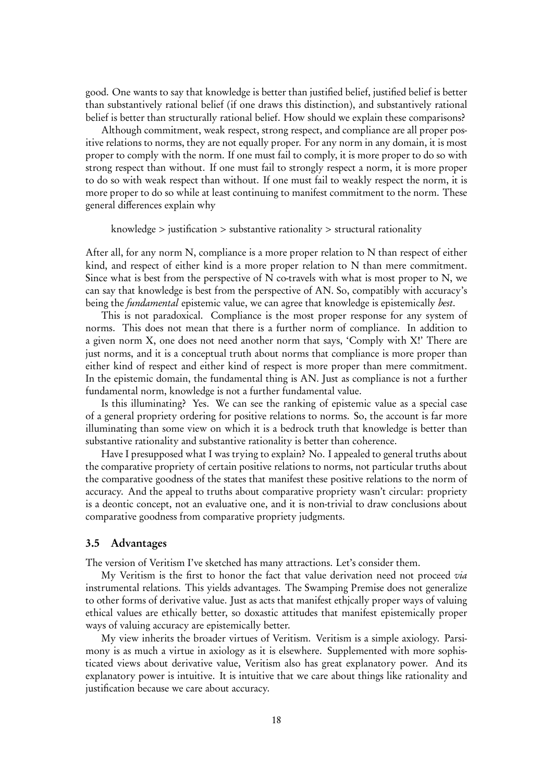good. One wants to say that knowledge is better than justified belief, justified belief is better than substantively rational belief (if one draws this distinction), and substantively rational belief is better than structurally rational belief. How should we explain these comparisons?

Although commitment, weak respect, strong respect, and compliance are all proper positive relations to norms, they are not equally proper. For any norm in any domain, it is most proper to comply with the norm. If one must fail to comply, it is more proper to do so with strong respect than without. If one must fail to strongly respect a norm, it is more proper to do so with weak respect than without. If one must fail to weakly respect the norm, it is more proper to do so while at least continuing to manifest commitment to the norm. These general differences explain why

knowledge > justification > substantive rationality > structural rationality

After all, for any norm N, compliance is a more proper relation to N than respect of either kind, and respect of either kind is a more proper relation to N than mere commitment. Since what is best from the perspective of N co-travels with what is most proper to N, we can say that knowledge is best from the perspective of AN. So, compatibly with accuracy's being the *fundamental* epistemic value, we can agree that knowledge is epistemically *best*.

This is not paradoxical. Compliance is the most proper response for any system of norms. This does not mean that there is a further norm of compliance. In addition to a given norm X, one does not need another norm that says, 'Comply with X!' There are just norms, and it is a conceptual truth about norms that compliance is more proper than either kind of respect and either kind of respect is more proper than mere commitment. In the epistemic domain, the fundamental thing is AN. Just as compliance is not a further fundamental norm, knowledge is not a further fundamental value.

Is this illuminating? Yes. We can see the ranking of epistemic value as a special case of a general propriety ordering for positive relations to norms. So, the account is far more illuminating than some view on which it is a bedrock truth that knowledge is better than substantive rationality and substantive rationality is better than coherence.

Have I presupposed what I was trying to explain? No. I appealed to general truths about the comparative propriety of certain positive relations to norms, not particular truths about the comparative goodness of the states that manifest these positive relations to the norm of accuracy. And the appeal to truths about comparative propriety wasn't circular: propriety is a deontic concept, not an evaluative one, and it is non-trivial to draw conclusions about comparative goodness from comparative propriety judgments.

#### 3.5 Advantages

The version of Veritism I've sketched has many attractions. Let's consider them.

My Veritism is the first to honor the fact that value derivation need not proceed via instrumental relations. This yields advantages. The Swamping Premise does not generalize to other forms of derivative value. Just as acts that manifest ethjcally proper ways of valuing ethical values are ethically better, so doxastic attitudes that manifest epistemically proper ways of valuing accuracy are epistemically better.

My view inherits the broader virtues of Veritism. Veritism is a simple axiology. Parsimony is as much a virtue in axiology as it is elsewhere. Supplemented with more sophisticated views about derivative value, Veritism also has great explanatory power. And its explanatory power is intuitive. It is intuitive that we care about things like rationality and justification because we care about accuracy.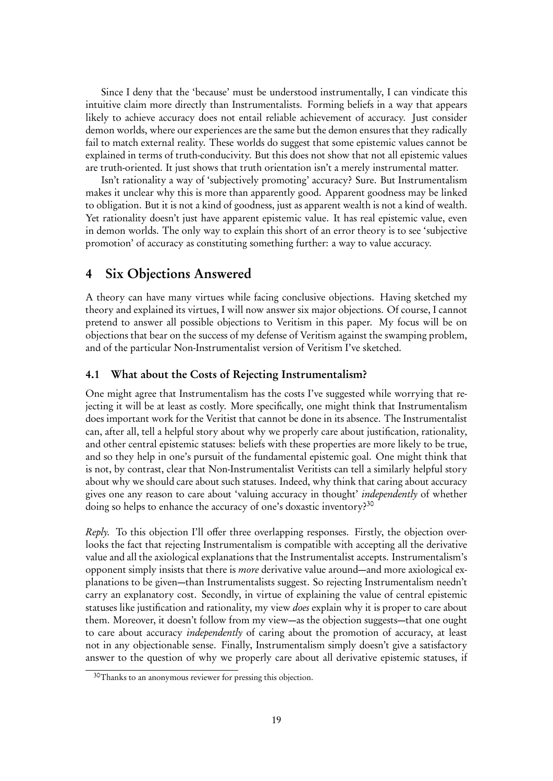Since I deny that the 'because' must be understood instrumentally, I can vindicate this intuitive claim more directly than Instrumentalists. Forming beliefs in a way that appears likely to achieve accuracy does not entail reliable achievement of accuracy. Just consider demon worlds, where our experiences are the same but the demon ensures that they radically fail to match external reality. These worlds do suggest that some epistemic values cannot be explained in terms of truth-conducivity. But this does not show that not all epistemic values are truth-oriented. It just shows that truth orientation isn't a merely instrumental matter.

Isn't rationality a way of 'subjectively promoting' accuracy? Sure. But Instrumentalism makes it unclear why this is more than apparently good. Apparent goodness may be linked to obligation. But it is not a kind of goodness, just as apparent wealth is not a kind of wealth. Yet rationality doesn't just have apparent epistemic value. It has real epistemic value, even in demon worlds. The only way to explain this short of an error theory is to see 'subjective promotion' of accuracy as constituting something further: a way to value accuracy.

# 4 Six Objections Answered

A theory can have many virtues while facing conclusive objections. Having sketched my theory and explained its virtues, I will now answer six major objections. Of course, I cannot pretend to answer all possible objections to Veritism in this paper. My focus will be on objections that bear on the success of my defense of Veritism against the swamping problem, and of the particular Non-Instrumentalist version of Veritism I've sketched.

#### 4.1 What about the Costs of Rejecting Instrumentalism?

One might agree that Instrumentalism has the costs I've suggested while worrying that rejecting it will be at least as costly. More specifically, one might think that Instrumentalism does important work for the Veritist that cannot be done in its absence. The Instrumentalist can, after all, tell a helpful story about why we properly care about justification, rationality, and other central epistemic statuses: beliefs with these properties are more likely to be true, and so they help in one's pursuit of the fundamental epistemic goal. One might think that is not, by contrast, clear that Non-Instrumentalist Veritists can tell a similarly helpful story about why we should care about such statuses. Indeed, why think that caring about accuracy gives one any reason to care about 'valuing accuracy in thought' independently of whether doing so helps to enhance the accuracy of one's doxastic inventory?<sup>30</sup>

Reply. To this objection I'll offer three overlapping responses. Firstly, the objection overlooks the fact that rejecting Instrumentalism is compatible with accepting all the derivative value and all the axiological explanations that the Instrumentalist accepts. Instrumentalism's opponent simply insists that there is more derivative value around—and more axiological explanations to be given—than Instrumentalists suggest. So rejecting Instrumentalism needn't carry an explanatory cost. Secondly, in virtue of explaining the value of central epistemic statuses like justification and rationality, my view does explain why it is proper to care about them. Moreover, it doesn't follow from my view—as the objection suggests—that one ought to care about accuracy independently of caring about the promotion of accuracy, at least not in any objectionable sense. Finally, Instrumentalism simply doesn't give a satisfactory answer to the question of why we properly care about all derivative epistemic statuses, if

<sup>&</sup>lt;sup>30</sup>Thanks to an anonymous reviewer for pressing this objection.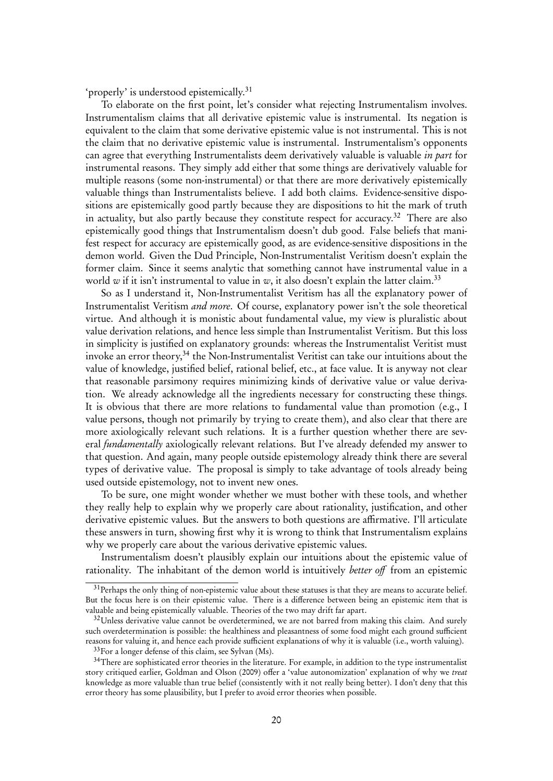'properly' is understood epistemically.<sup>31</sup>

To elaborate on the first point, let's consider what rejecting Instrumentalism involves. Instrumentalism claims that all derivative epistemic value is instrumental. Its negation is equivalent to the claim that some derivative epistemic value is not instrumental. This is not the claim that no derivative epistemic value is instrumental. Instrumentalism's opponents can agree that everything Instrumentalists deem derivatively valuable is valuable in part for instrumental reasons. They simply add either that some things are derivatively valuable for multiple reasons (some non-instrumental) or that there are more derivatively epistemically valuable things than Instrumentalists believe. I add both claims. Evidence-sensitive dispositions are epistemically good partly because they are dispositions to hit the mark of truth in actuality, but also partly because they constitute respect for accuracy.<sup>32</sup> There are also epistemically good things that Instrumentalism doesn't dub good. False beliefs that manifest respect for accuracy are epistemically good, as are evidence-sensitive dispositions in the demon world. Given the Dud Principle, Non-Instrumentalist Veritism doesn't explain the former claim. Since it seems analytic that something cannot have instrumental value in a world w if it isn't instrumental to value in w, it also doesn't explain the latter claim.<sup>33</sup>

So as I understand it, Non-Instrumentalist Veritism has all the explanatory power of Instrumentalist Veritism and more. Of course, explanatory power isn't the sole theoretical virtue. And although it is monistic about fundamental value, my view is pluralistic about value derivation relations, and hence less simple than Instrumentalist Veritism. But this loss in simplicity is justified on explanatory grounds: whereas the Instrumentalist Veritist must invoke an error theory,<sup>34</sup> the Non-Instrumentalist Veritist can take our intuitions about the value of knowledge, justified belief, rational belief, etc., at face value. It is anyway not clear that reasonable parsimony requires minimizing kinds of derivative value or value derivation. We already acknowledge all the ingredients necessary for constructing these things. It is obvious that there are more relations to fundamental value than promotion (e.g., I value persons, though not primarily by trying to create them), and also clear that there are more axiologically relevant such relations. It is a further question whether there are several *fundamentally* axiologically relevant relations. But I've already defended my answer to that question. And again, many people outside epistemology already think there are several types of derivative value. The proposal is simply to take advantage of tools already being used outside epistemology, not to invent new ones.

To be sure, one might wonder whether we must bother with these tools, and whether they really help to explain why we properly care about rationality, justification, and other derivative epistemic values. But the answers to both questions are affirmative. I'll articulate these answers in turn, showing first why it is wrong to think that Instrumentalism explains why we properly care about the various derivative epistemic values.

Instrumentalism doesn't plausibly explain our intuitions about the epistemic value of rationality. The inhabitant of the demon world is intuitively better off from an epistemic

<sup>&</sup>lt;sup>31</sup>Perhaps the only thing of non-epistemic value about these statuses is that they are means to accurate belief. But the focus here is on their epistemic value. There is a difference between being an epistemic item that is valuable and being epistemically valuable. Theories of the two may drift far apart.

 $32$ Unless derivative value cannot be overdetermined, we are not barred from making this claim. And surely such overdetermination is possible: the healthiness and pleasantness of some food might each ground sufficient reasons for valuing it, and hence each provide sufficient explanations of why it is valuable (i.e., worth valuing).

 $33$ For a longer defense of this claim, see Sylvan (Ms).

<sup>&</sup>lt;sup>34</sup>There are sophisticated error theories in the literature. For example, in addition to the type instrumentalist story critiqued earlier, Goldman and Olson (2009) offer a 'value autonomization' explanation of why we treat knowledge as more valuable than true belief (consistently with it not really being better). I don't deny that this error theory has some plausibility, but I prefer to avoid error theories when possible.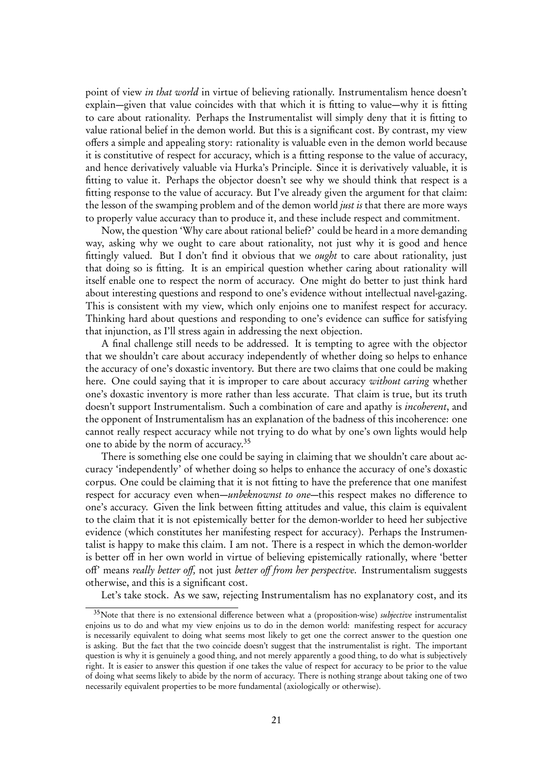point of view in that world in virtue of believing rationally. Instrumentalism hence doesn't explain—given that value coincides with that which it is fitting to value—why it is fitting to care about rationality. Perhaps the Instrumentalist will simply deny that it is fitting to value rational belief in the demon world. But this is a significant cost. By contrast, my view offers a simple and appealing story: rationality is valuable even in the demon world because it is constitutive of respect for accuracy, which is a fitting response to the value of accuracy, and hence derivatively valuable via Hurka's Principle. Since it is derivatively valuable, it is fitting to value it. Perhaps the objector doesn't see why we should think that respect is a fitting response to the value of accuracy. But I've already given the argument for that claim: the lesson of the swamping problem and of the demon world *just is* that there are more ways to properly value accuracy than to produce it, and these include respect and commitment.

Now, the question 'Why care about rational belief?' could be heard in a more demanding way, asking why we ought to care about rationality, not just why it is good and hence fittingly valued. But I don't find it obvious that we ought to care about rationality, just that doing so is fitting. It is an empirical question whether caring about rationality will itself enable one to respect the norm of accuracy. One might do better to just think hard about interesting questions and respond to one's evidence without intellectual navel-gazing. This is consistent with my view, which only enjoins one to manifest respect for accuracy. Thinking hard about questions and responding to one's evidence can suffice for satisfying that injunction, as I'll stress again in addressing the next objection.

A final challenge still needs to be addressed. It is tempting to agree with the objector that we shouldn't care about accuracy independently of whether doing so helps to enhance the accuracy of one's doxastic inventory. But there are two claims that one could be making here. One could saying that it is improper to care about accuracy without caring whether one's doxastic inventory is more rather than less accurate. That claim is true, but its truth doesn't support Instrumentalism. Such a combination of care and apathy is *incoherent*, and the opponent of Instrumentalism has an explanation of the badness of this incoherence: one cannot really respect accuracy while not trying to do what by one's own lights would help one to abide by the norm of accuracy.<sup>35</sup>

There is something else one could be saying in claiming that we shouldn't care about accuracy 'independently' of whether doing so helps to enhance the accuracy of one's doxastic corpus. One could be claiming that it is not fitting to have the preference that one manifest respect for accuracy even when—unbeknownst to one—this respect makes no difference to one's accuracy. Given the link between fitting attitudes and value, this claim is equivalent to the claim that it is not epistemically better for the demon-worlder to heed her subjective evidence (which constitutes her manifesting respect for accuracy). Perhaps the Instrumentalist is happy to make this claim. I am not. There is a respect in which the demon-worlder is better off in her own world in virtue of believing epistemically rationally, where 'better off' means really better off, not just better off from her perspective. Instrumentalism suggests otherwise, and this is a significant cost.

Let's take stock. As we saw, rejecting Instrumentalism has no explanatory cost, and its

 $35$ Note that there is no extensional difference between what a (proposition-wise) subjective instrumentalist enjoins us to do and what my view enjoins us to do in the demon world: manifesting respect for accuracy is necessarily equivalent to doing what seems most likely to get one the correct answer to the question one is asking. But the fact that the two coincide doesn't suggest that the instrumentalist is right. The important question is why it is genuinely a good thing, and not merely apparently a good thing, to do what is subjectively right. It is easier to answer this question if one takes the value of respect for accuracy to be prior to the value of doing what seems likely to abide by the norm of accuracy. There is nothing strange about taking one of two necessarily equivalent properties to be more fundamental (axiologically or otherwise).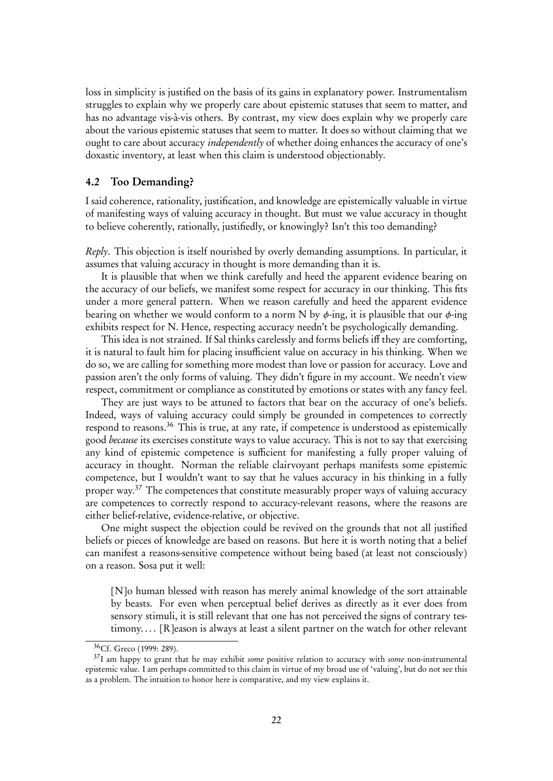loss in simplicity is justified on the basis of its gains in explanatory power. Instrumentalism struggles to explain why we properly care about epistemic statuses that seem to matter, and has no advantage vis-à-vis others. By contrast, my view does explain why we properly care about the various epistemic statuses that seem to matter. It does so without claiming that we ought to care about accuracy *independently* of whether doing enhances the accuracy of one's doxastic inventory, at least when this claim is understood objectionably.

#### 4.2 Too Demanding?

I said coherence, rationality, justification, and knowledge are epistemically valuable in virtue of manifesting ways of valuing accuracy in thought. But must we value accuracy in thought to believe coherently, rationally, justifiedly, or knowingly? Isn't this too demanding?

Reply. This objection is itself nourished by overly demanding assumptions. In particular, it assumes that valuing accuracy in thought is more demanding than it is.

It is plausible that when we think carefully and heed the apparent evidence bearing on the accuracy of our beliefs, we manifest some respect for accuracy in our thinking. This fits under a more general pattern. When we reason carefully and heed the apparent evidence bearing on whether we would conform to a norm N by  $\phi$ -ing, it is plausible that our  $\phi$ -ing exhibits respect for N. Hence, respecting accuracy needn't be psychologically demanding.

This idea is not strained. If Sal thinks carelessly and forms beliefs iff they are comforting, it is natural to fault him for placing insufficient value on accuracy in his thinking. When we do so, we are calling for something more modest than love or passion for accuracy. Love and passion aren't the only forms of valuing. They didn't figure in my account. We needn't view respect, commitment or compliance as constituted by emotions or states with any fancy feel.

They are just ways to be attuned to factors that bear on the accuracy of one's beliefs. Indeed, ways of valuing accuracy could simply be grounded in competences to correctly respond to reasons.<sup>36</sup> This is true, at any rate, if competence is understood as epistemically good because its exercises constitute ways to value accuracy. This is not to say that exercising any kind of epistemic competence is sufficient for manifesting a fully proper valuing of accuracy in thought. Norman the reliable clairvoyant perhaps manifests some epistemic competence, but I wouldn't want to say that he values accuracy in his thinking in a fully proper way.<sup>37</sup> The competences that constitute measurably proper ways of valuing accuracy are competences to correctly respond to accuracy-relevant reasons, where the reasons are either belief-relative, evidence-relative, or objective.

One might suspect the objection could be revived on the grounds that not all justified beliefs or pieces of knowledge are based on reasons. But here it is worth noting that a belief can manifest a reasons-sensitive competence without being based (at least not consciously) on a reason. Sosa put it well:

[N]o human blessed with reason has merely animal knowledge of the sort attainable by beasts. For even when perceptual belief derives as directly as it ever does from sensory stimuli, it is still relevant that one has not perceived the signs of contrary testimony. . . . [R]eason is always at least a silent partner on the watch for other relevant

<sup>36</sup>Cf. Greco (1999: 289).

 $37$ I am happy to grant that he may exhibit some positive relation to accuracy with some non-instrumental epistemic value. I am perhaps committed to this claim in virtue of my broad use of 'valuing', but do not see this as a problem. The intuition to honor here is comparative, and my view explains it.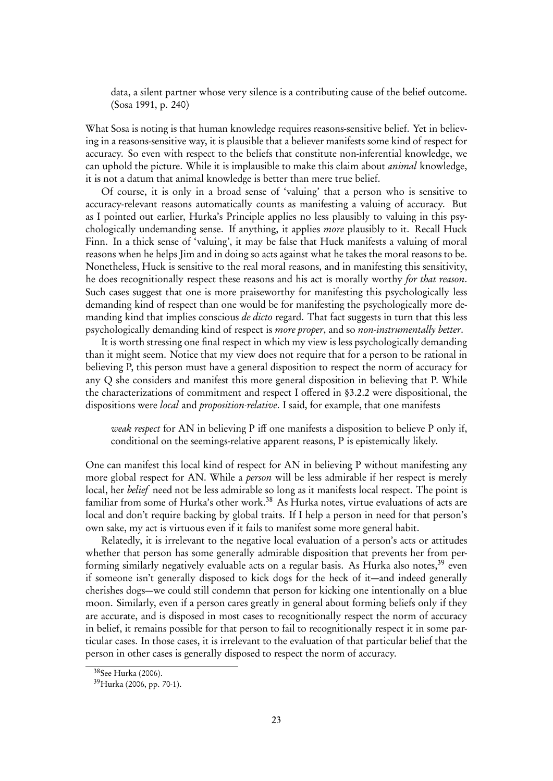data, a silent partner whose very silence is a contributing cause of the belief outcome. (Sosa 1991, p. 240)

What Sosa is noting is that human knowledge requires reasons-sensitive belief. Yet in believing in a reasons-sensitive way, it is plausible that a believer manifests some kind of respect for accuracy. So even with respect to the beliefs that constitute non-inferential knowledge, we can uphold the picture. While it is implausible to make this claim about animal knowledge, it is not a datum that animal knowledge is better than mere true belief.

Of course, it is only in a broad sense of 'valuing' that a person who is sensitive to accuracy-relevant reasons automatically counts as manifesting a valuing of accuracy. But as I pointed out earlier, Hurka's Principle applies no less plausibly to valuing in this psychologically undemanding sense. If anything, it applies more plausibly to it. Recall Huck Finn. In a thick sense of 'valuing', it may be false that Huck manifests a valuing of moral reasons when he helps Jim and in doing so acts against what he takes the moral reasons to be. Nonetheless, Huck is sensitive to the real moral reasons, and in manifesting this sensitivity, he does recognitionally respect these reasons and his act is morally worthy for that reason. Such cases suggest that one is more praiseworthy for manifesting this psychologically less demanding kind of respect than one would be for manifesting the psychologically more demanding kind that implies conscious *de dicto* regard. That fact suggests in turn that this less psychologically demanding kind of respect is more proper, and so non-instrumentally better.

It is worth stressing one final respect in which my view is less psychologically demanding than it might seem. Notice that my view does not require that for a person to be rational in believing P, this person must have a general disposition to respect the norm of accuracy for any Q she considers and manifest this more general disposition in believing that P. While the characterizations of commitment and respect I offered in §3.2.2 were dispositional, the dispositions were *local* and *proposition-relative*. I said, for example, that one manifests

weak respect for AN in believing P iff one manifests a disposition to believe P only if, conditional on the seemings-relative apparent reasons, P is epistemically likely.

One can manifest this local kind of respect for AN in believing P without manifesting any more global respect for AN. While a person will be less admirable if her respect is merely local, her belief need not be less admirable so long as it manifests local respect. The point is familiar from some of Hurka's other work.<sup>38</sup> As Hurka notes, virtue evaluations of acts are local and don't require backing by global traits. If I help a person in need for that person's own sake, my act is virtuous even if it fails to manifest some more general habit.

Relatedly, it is irrelevant to the negative local evaluation of a person's acts or attitudes whether that person has some generally admirable disposition that prevents her from performing similarly negatively evaluable acts on a regular basis. As Hurka also notes,  $39$  even if someone isn't generally disposed to kick dogs for the heck of it—and indeed generally cherishes dogs—we could still condemn that person for kicking one intentionally on a blue moon. Similarly, even if a person cares greatly in general about forming beliefs only if they are accurate, and is disposed in most cases to recognitionally respect the norm of accuracy in belief, it remains possible for that person to fail to recognitionally respect it in some particular cases. In those cases, it is irrelevant to the evaluation of that particular belief that the person in other cases is generally disposed to respect the norm of accuracy.

<sup>&</sup>lt;sup>38</sup>See Hurka (2006).

<sup>39</sup>Hurka (2006, pp. 70-1).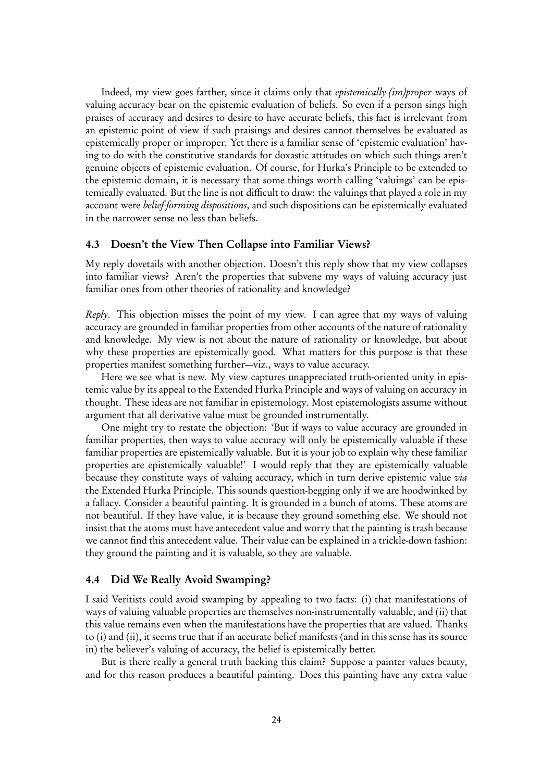Indeed, my view goes farther, since it claims only that *epistemically (im)proper* ways of valuing accuracy bear on the epistemic evaluation of beliefs. So even if a person sings high praises of accuracy and desires to desire to have accurate beliefs, this fact is irrelevant from an epistemic point of view if such praisings and desires cannot themselves be evaluated as epistemically proper or improper. Yet there is a familiar sense of 'epistemic evaluation' having to do with the constitutive standards for doxastic attitudes on which such things aren't genuine objects of epistemic evaluation. Of course, for Hurka's Principle to be extended to the epistemic domain, it is necessary that some things worth calling 'valuings' can be epistemically evaluated. But the line is not difficult to draw: the valuings that played a role in my account were *belief-forming dispositions*, and such dispositions can be epistemically evaluated in the narrower sense no less than beliefs.

#### 4.3 Doesn't the View Then Collapse into Familiar Views?

My reply dovetails with another objection. Doesn't this reply show that my view collapses into familiar views? Aren't the properties that subvene my ways of valuing accuracy just familiar ones from other theories of rationality and knowledge?

Reply. This objection misses the point of my view. I can agree that my ways of valuing accuracy are grounded in familiar properties from other accounts of the nature of rationality and knowledge. My view is not about the nature of rationality or knowledge, but about why these properties are epistemically good. What matters for this purpose is that these properties manifest something further—viz., ways to value accuracy.

Here we see what is new. My view captures unappreciated truth-oriented unity in epistemic value by its appeal to the Extended Hurka Principle and ways of valuing on accuracy in thought. These ideas are not familiar in epistemology. Most epistemologists assume without argument that all derivative value must be grounded instrumentally.

One might try to restate the objection: 'But if ways to value accuracy are grounded in familiar properties, then ways to value accuracy will only be epistemically valuable if these familiar properties are epistemically valuable. But it is your job to explain why these familiar properties are epistemically valuable!' I would reply that they are epistemically valuable because they constitute ways of valuing accuracy, which in turn derive epistemic value via the Extended Hurka Principle. This sounds question-begging only if we are hoodwinked by a fallacy. Consider a beautiful painting. It is grounded in a bunch of atoms. These atoms are not beautiful. If they have value, it is because they ground something else. We should not insist that the atoms must have antecedent value and worry that the painting is trash because we cannot find this antecedent value. Their value can be explained in a trickle-down fashion: they ground the painting and it is valuable, so they are valuable.

#### 4.4 Did We Really Avoid Swamping?

I said Veritists could avoid swamping by appealing to two facts: (i) that manifestations of ways of valuing valuable properties are themselves non-instrumentally valuable, and (ii) that this value remains even when the manifestations have the properties that are valued. Thanks to (i) and (ii), it seems true that if an accurate belief manifests (and in this sense has its source in) the believer's valuing of accuracy, the belief is epistemically better.

But is there really a general truth backing this claim? Suppose a painter values beauty, and for this reason produces a beautiful painting. Does this painting have any extra value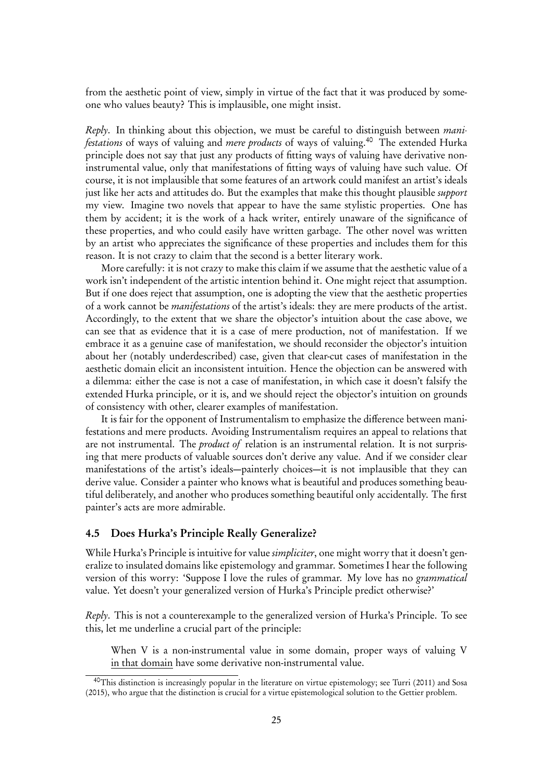from the aesthetic point of view, simply in virtue of the fact that it was produced by someone who values beauty? This is implausible, one might insist.

Reply. In thinking about this objection, we must be careful to distinguish between *mani*festations of ways of valuing and mere products of ways of valuing.<sup>40</sup> The extended Hurka principle does not say that just any products of fitting ways of valuing have derivative noninstrumental value, only that manifestations of fitting ways of valuing have such value. Of course, it is not implausible that some features of an artwork could manifest an artist's ideals just like her acts and attitudes do. But the examples that make this thought plausible *support* my view. Imagine two novels that appear to have the same stylistic properties. One has them by accident; it is the work of a hack writer, entirely unaware of the significance of these properties, and who could easily have written garbage. The other novel was written by an artist who appreciates the significance of these properties and includes them for this reason. It is not crazy to claim that the second is a better literary work.

More carefully: it is not crazy to make this claim if we assume that the aesthetic value of a work isn't independent of the artistic intention behind it. One might reject that assumption. But if one does reject that assumption, one is adopting the view that the aesthetic properties of a work cannot be manifestations of the artist's ideals: they are mere products of the artist. Accordingly, to the extent that we share the objector's intuition about the case above, we can see that as evidence that it is a case of mere production, not of manifestation. If we embrace it as a genuine case of manifestation, we should reconsider the objector's intuition about her (notably underdescribed) case, given that clear-cut cases of manifestation in the aesthetic domain elicit an inconsistent intuition. Hence the objection can be answered with a dilemma: either the case is not a case of manifestation, in which case it doesn't falsify the extended Hurka principle, or it is, and we should reject the objector's intuition on grounds of consistency with other, clearer examples of manifestation.

It is fair for the opponent of Instrumentalism to emphasize the difference between manifestations and mere products. Avoiding Instrumentalism requires an appeal to relations that are not instrumental. The *product of relation* is an instrumental relation. It is not surprising that mere products of valuable sources don't derive any value. And if we consider clear manifestations of the artist's ideals—painterly choices—it is not implausible that they can derive value. Consider a painter who knows what is beautiful and produces something beautiful deliberately, and another who produces something beautiful only accidentally. The first painter's acts are more admirable.

#### 4.5 Does Hurka's Principle Really Generalize?

While Hurka's Principle is intuitive for value simpliciter, one might worry that it doesn't generalize to insulated domains like epistemology and grammar. Sometimes I hear the following version of this worry: 'Suppose I love the rules of grammar. My love has no grammatical value. Yet doesn't your generalized version of Hurka's Principle predict otherwise?'

Reply. This is not a counterexample to the generalized version of Hurka's Principle. To see this, let me underline a crucial part of the principle:

When V is a non-instrumental value in some domain, proper ways of valuing V in that domain have some derivative non-instrumental value.

<sup>&</sup>lt;sup>40</sup>This distinction is increasingly popular in the literature on virtue epistemology; see Turri (2011) and Sosa (2015), who argue that the distinction is crucial for a virtue epistemological solution to the Gettier problem.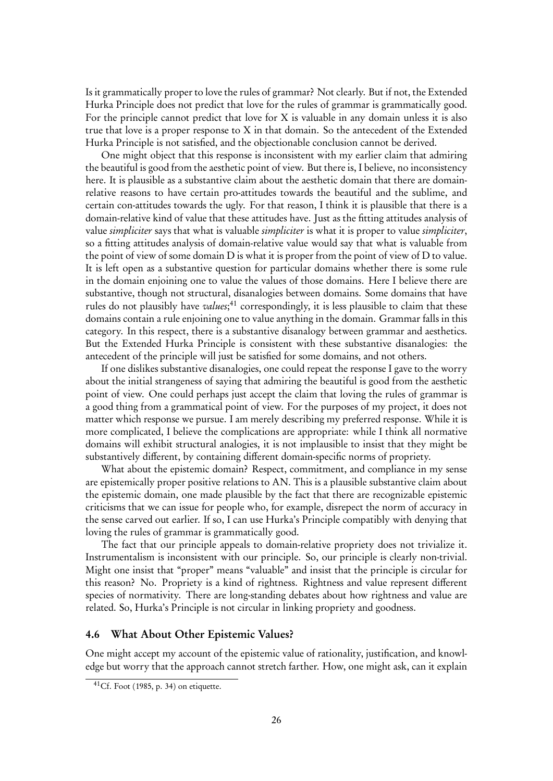Is it grammatically proper to love the rules of grammar? Not clearly. But if not, the Extended Hurka Principle does not predict that love for the rules of grammar is grammatically good. For the principle cannot predict that love for X is valuable in any domain unless it is also true that love is a proper response to X in that domain. So the antecedent of the Extended Hurka Principle is not satisfied, and the objectionable conclusion cannot be derived.

One might object that this response is inconsistent with my earlier claim that admiring the beautiful is good from the aesthetic point of view. But there is, I believe, no inconsistency here. It is plausible as a substantive claim about the aesthetic domain that there are domainrelative reasons to have certain pro-attitudes towards the beautiful and the sublime, and certain con-attitudes towards the ugly. For that reason, I think it is plausible that there is a domain-relative kind of value that these attitudes have. Just as the fitting attitudes analysis of value *simpliciter* says that what is valuable *simpliciter* is what it is proper to value *simpliciter*, so a fitting attitudes analysis of domain-relative value would say that what is valuable from the point of view of some domain D is what it is proper from the point of view of D to value. It is left open as a substantive question for particular domains whether there is some rule in the domain enjoining one to value the values of those domains. Here I believe there are substantive, though not structural, disanalogies between domains. Some domains that have rules do not plausibly have values;<sup>41</sup> correspondingly, it is less plausible to claim that these domains contain a rule enjoining one to value anything in the domain. Grammar falls in this category. In this respect, there is a substantive disanalogy between grammar and aesthetics. But the Extended Hurka Principle is consistent with these substantive disanalogies: the antecedent of the principle will just be satisfied for some domains, and not others.

If one dislikes substantive disanalogies, one could repeat the response I gave to the worry about the initial strangeness of saying that admiring the beautiful is good from the aesthetic point of view. One could perhaps just accept the claim that loving the rules of grammar is a good thing from a grammatical point of view. For the purposes of my project, it does not matter which response we pursue. I am merely describing my preferred response. While it is more complicated, I believe the complications are appropriate: while I think all normative domains will exhibit structural analogies, it is not implausible to insist that they might be substantively different, by containing different domain-specific norms of propriety.

What about the epistemic domain? Respect, commitment, and compliance in my sense are epistemically proper positive relations to AN. This is a plausible substantive claim about the epistemic domain, one made plausible by the fact that there are recognizable epistemic criticisms that we can issue for people who, for example, disrepect the norm of accuracy in the sense carved out earlier. If so, I can use Hurka's Principle compatibly with denying that loving the rules of grammar is grammatically good.

The fact that our principle appeals to domain-relative propriety does not trivialize it. Instrumentalism is inconsistent with our principle. So, our principle is clearly non-trivial. Might one insist that "proper" means "valuable" and insist that the principle is circular for this reason? No. Propriety is a kind of rightness. Rightness and value represent different species of normativity. There are long-standing debates about how rightness and value are related. So, Hurka's Principle is not circular in linking propriety and goodness.

#### 4.6 What About Other Epistemic Values?

One might accept my account of the epistemic value of rationality, justification, and knowledge but worry that the approach cannot stretch farther. How, one might ask, can it explain

 $^{41}$ Cf. Foot (1985, p. 34) on etiquette.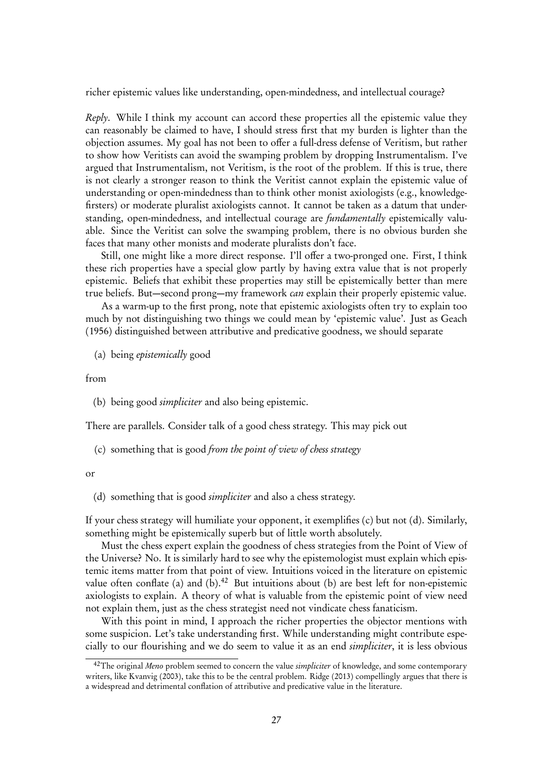richer epistemic values like understanding, open-mindedness, and intellectual courage?

Reply. While I think my account can accord these properties all the epistemic value they can reasonably be claimed to have, I should stress first that my burden is lighter than the objection assumes. My goal has not been to offer a full-dress defense of Veritism, but rather to show how Veritists can avoid the swamping problem by dropping Instrumentalism. I've argued that Instrumentalism, not Veritism, is the root of the problem. If this is true, there is not clearly a stronger reason to think the Veritist cannot explain the epistemic value of understanding or open-mindedness than to think other monist axiologists (e.g., knowledgefirsters) or moderate pluralist axiologists cannot. It cannot be taken as a datum that understanding, open-mindedness, and intellectual courage are *fundamentally* epistemically valuable. Since the Veritist can solve the swamping problem, there is no obvious burden she faces that many other monists and moderate pluralists don't face.

Still, one might like a more direct response. I'll offer a two-pronged one. First, I think these rich properties have a special glow partly by having extra value that is not properly epistemic. Beliefs that exhibit these properties may still be epistemically better than mere true beliefs. But—second prong—my framework *can* explain their properly epistemic value.

As a warm-up to the first prong, note that epistemic axiologists often try to explain too much by not distinguishing two things we could mean by 'epistemic value'. Just as Geach (1956) distinguished between attributive and predicative goodness, we should separate

(a) being epistemically good

from

(b) being good simpliciter and also being epistemic.

There are parallels. Consider talk of a good chess strategy. This may pick out

(c) something that is good from the point of view of chess strategy

#### or

(d) something that is good *simpliciter* and also a chess strategy.

If your chess strategy will humiliate your opponent, it exemplifies (c) but not (d). Similarly, something might be epistemically superb but of little worth absolutely.

Must the chess expert explain the goodness of chess strategies from the Point of View of the Universe? No. It is similarly hard to see why the epistemologist must explain which epistemic items matter from that point of view. Intuitions voiced in the literature on epistemic value often conflate (a) and (b).<sup>42</sup> But intuitions about (b) are best left for non-epistemic axiologists to explain. A theory of what is valuable from the epistemic point of view need not explain them, just as the chess strategist need not vindicate chess fanaticism.

With this point in mind, I approach the richer properties the objector mentions with some suspicion. Let's take understanding first. While understanding might contribute especially to our flourishing and we do seem to value it as an end simpliciter, it is less obvious

<sup>&</sup>lt;sup>42</sup>The original *Meno* problem seemed to concern the value *simpliciter* of knowledge, and some contemporary writers, like Kvanvig (2003), take this to be the central problem. Ridge (2013) compellingly argues that there is a widespread and detrimental conflation of attributive and predicative value in the literature.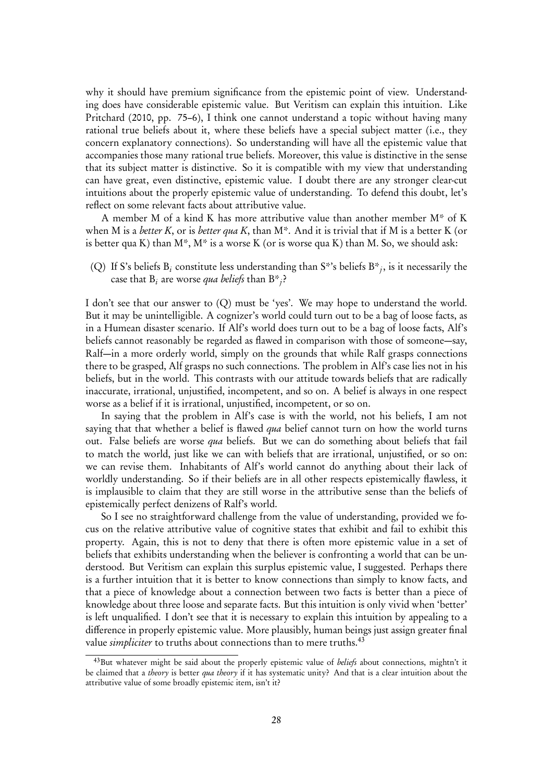why it should have premium significance from the epistemic point of view. Understanding does have considerable epistemic value. But Veritism can explain this intuition. Like Pritchard (2010, pp. 75–6), I think one cannot understand a topic without having many rational true beliefs about it, where these beliefs have a special subject matter (i.e., they concern explanatory connections). So understanding will have all the epistemic value that accompanies those many rational true beliefs. Moreover, this value is distinctive in the sense that its subject matter is distinctive. So it is compatible with my view that understanding can have great, even distinctive, epistemic value. I doubt there are any stronger clear-cut intuitions about the properly epistemic value of understanding. To defend this doubt, let's reflect on some relevant facts about attributive value.

A member M of a kind K has more attributive value than another member M\* of K when M is a better K, or is better qua K, than  $M^*$ . And it is trivial that if M is a better K (or is better qua K) than  $M^*$ ,  $M^*$  is a worse K (or is worse qua K) than M. So, we should ask:

(Q) If S's beliefs  $B_i$  constitute less understanding than S\*'s beliefs  $B^*_{j}$ , is it necessarily the case that  $B_i$  are worse *qua beliefs* than  $B^*$ ;?

I don't see that our answer to (Q) must be 'yes'. We may hope to understand the world. But it may be unintelligible. A cognizer's world could turn out to be a bag of loose facts, as in a Humean disaster scenario. If Alf's world does turn out to be a bag of loose facts, Alf's beliefs cannot reasonably be regarded as flawed in comparison with those of someone—say, Ralf—in a more orderly world, simply on the grounds that while Ralf grasps connections there to be grasped, Alf grasps no such connections. The problem in Alf's case lies not in his beliefs, but in the world. This contrasts with our attitude towards beliefs that are radically inaccurate, irrational, unjustified, incompetent, and so on. A belief is always in one respect worse as a belief if it is irrational, unjustified, incompetent, or so on.

In saying that the problem in Alf's case is with the world, not his beliefs, I am not saying that that whether a belief is flawed *qua* belief cannot turn on how the world turns out. False beliefs are worse *qua* beliefs. But we can do something about beliefs that fail to match the world, just like we can with beliefs that are irrational, unjustified, or so on: we can revise them. Inhabitants of Alf's world cannot do anything about their lack of worldly understanding. So if their beliefs are in all other respects epistemically flawless, it is implausible to claim that they are still worse in the attributive sense than the beliefs of epistemically perfect denizens of Ralf's world.

So I see no straightforward challenge from the value of understanding, provided we focus on the relative attributive value of cognitive states that exhibit and fail to exhibit this property. Again, this is not to deny that there is often more epistemic value in a set of beliefs that exhibits understanding when the believer is confronting a world that can be understood. But Veritism can explain this surplus epistemic value, I suggested. Perhaps there is a further intuition that it is better to know connections than simply to know facts, and that a piece of knowledge about a connection between two facts is better than a piece of knowledge about three loose and separate facts. But this intuition is only vivid when 'better' is left unqualified. I don't see that it is necessary to explain this intuition by appealing to a difference in properly epistemic value. More plausibly, human beings just assign greater final value *simpliciter* to truths about connections than to mere truths.<sup>43</sup>

<sup>&</sup>lt;sup>43</sup>But whatever might be said about the properly epistemic value of beliefs about connections, mightn't it be claimed that a theory is better qua theory if it has systematic unity? And that is a clear intuition about the attributive value of some broadly epistemic item, isn't it?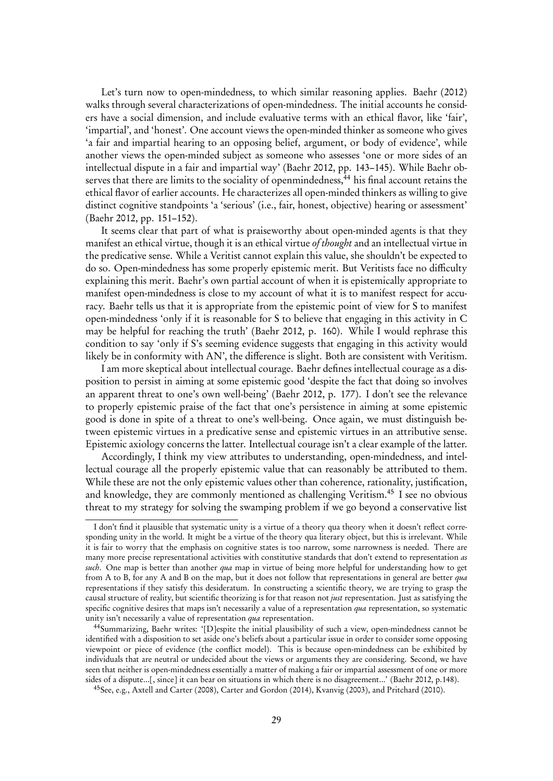Let's turn now to open-mindedness, to which similar reasoning applies. Baehr (2012) walks through several characterizations of open-mindedness. The initial accounts he considers have a social dimension, and include evaluative terms with an ethical flavor, like 'fair', 'impartial', and 'honest'. One account views the open-minded thinker as someone who gives 'a fair and impartial hearing to an opposing belief, argument, or body of evidence', while another views the open-minded subject as someone who assesses 'one or more sides of an intellectual dispute in a fair and impartial way' (Baehr 2012, pp. 143–145). While Baehr observes that there are limits to the sociality of openmindedness,<sup>44</sup> his final account retains the ethical flavor of earlier accounts. He characterizes all open-minded thinkers as willing to give distinct cognitive standpoints 'a 'serious' (i.e., fair, honest, objective) hearing or assessment' (Baehr 2012, pp. 151–152).

It seems clear that part of what is praiseworthy about open-minded agents is that they manifest an ethical virtue, though it is an ethical virtue of thought and an intellectual virtue in the predicative sense. While a Veritist cannot explain this value, she shouldn't be expected to do so. Open-mindedness has some properly epistemic merit. But Veritists face no difficulty explaining this merit. Baehr's own partial account of when it is epistemically appropriate to manifest open-mindedness is close to my account of what it is to manifest respect for accuracy. Baehr tells us that it is appropriate from the epistemic point of view for S to manifest open-mindedness 'only if it is reasonable for S to believe that engaging in this activity in C may be helpful for reaching the truth' (Baehr 2012, p. 160). While I would rephrase this condition to say 'only if S's seeming evidence suggests that engaging in this activity would likely be in conformity with AN', the difference is slight. Both are consistent with Veritism.

I am more skeptical about intellectual courage. Baehr defines intellectual courage as a disposition to persist in aiming at some epistemic good 'despite the fact that doing so involves an apparent threat to one's own well-being' (Baehr 2012, p. 177). I don't see the relevance to properly epistemic praise of the fact that one's persistence in aiming at some epistemic good is done in spite of a threat to one's well-being. Once again, we must distinguish between epistemic virtues in a predicative sense and epistemic virtues in an attributive sense. Epistemic axiology concerns the latter. Intellectual courage isn't a clear example of the latter.

Accordingly, I think my view attributes to understanding, open-mindedness, and intellectual courage all the properly epistemic value that can reasonably be attributed to them. While these are not the only epistemic values other than coherence, rationality, justification, and knowledge, they are commonly mentioned as challenging Veritism.<sup>45</sup> I see no obvious threat to my strategy for solving the swamping problem if we go beyond a conservative list

I don't find it plausible that systematic unity is a virtue of a theory qua theory when it doesn't reflect corresponding unity in the world. It might be a virtue of the theory qua literary object, but this is irrelevant. While it is fair to worry that the emphasis on cognitive states is too narrow, some narrowness is needed. There are many more precise representational activities with constitutive standards that don't extend to representation as such. One map is better than another qua map in virtue of being more helpful for understanding how to get from A to B, for any A and B on the map, but it does not follow that representations in general are better qua representations if they satisfy this desideratum. In constructing a scientific theory, we are trying to grasp the causal structure of reality, but scientific theorizing is for that reason not just representation. Just as satisfying the specific cognitive desires that maps isn't necessarily a value of a representation *qua* representation, so systematic unity isn't necessarily a value of representation *qua* representation.

<sup>44</sup>Summarizing, Baehr writes: '[D]espite the initial plausibility of such a view, open-mindedness cannot be identified with a disposition to set aside one's beliefs about a particular issue in order to consider some opposing viewpoint or piece of evidence ( the conflict model). This is because open-mindedness can be exhibited by individuals that are neutral or undecided about the views or arguments they are considering. Second, we have seen that neither is open-mindedness essentially a matter of making a fair or impartial assessment of one or more sides of a dispute...[, since] it can bear on situations in which there is no disagreement...' (Baehr 2012, p.148).

<sup>45</sup>See, e.g., Axtell and Carter (2008), Carter and Gordon (2014), Kvanvig (2003), and Pritchard (2010).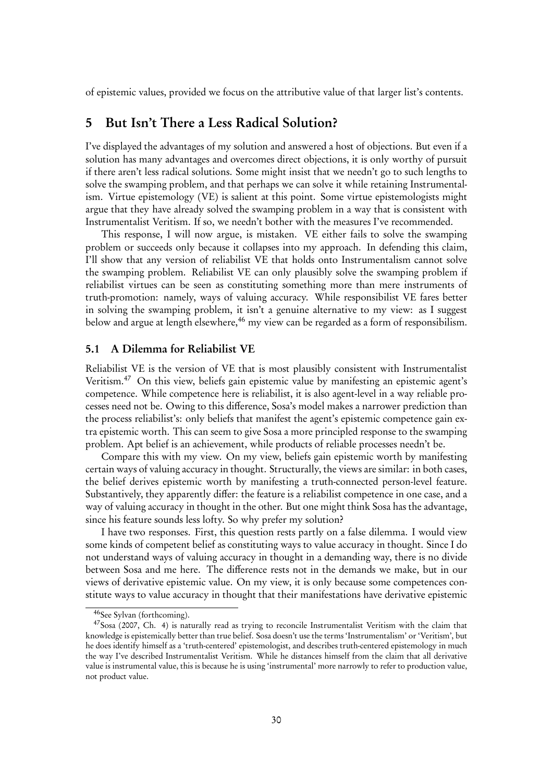of epistemic values, provided we focus on the attributive value of that larger list's contents.

# 5 But Isn't There a Less Radical Solution?

I've displayed the advantages of my solution and answered a host of objections. But even if a solution has many advantages and overcomes direct objections, it is only worthy of pursuit if there aren't less radical solutions. Some might insist that we needn't go to such lengths to solve the swamping problem, and that perhaps we can solve it while retaining Instrumentalism. Virtue epistemology (VE) is salient at this point. Some virtue epistemologists might argue that they have already solved the swamping problem in a way that is consistent with Instrumentalist Veritism. If so, we needn't bother with the measures I've recommended.

This response, I will now argue, is mistaken. VE either fails to solve the swamping problem or succeeds only because it collapses into my approach. In defending this claim, I'll show that any version of reliabilist VE that holds onto Instrumentalism cannot solve the swamping problem. Reliabilist VE can only plausibly solve the swamping problem if reliabilist virtues can be seen as constituting something more than mere instruments of truth-promotion: namely, ways of valuing accuracy. While responsibilist VE fares better in solving the swamping problem, it isn't a genuine alternative to my view: as I suggest below and argue at length elsewhere,<sup>46</sup> my view can be regarded as a form of responsibilism.

#### 5.1 A Dilemma for Reliabilist VE

Reliabilist VE is the version of VE that is most plausibly consistent with Instrumentalist Veritism.<sup>47</sup> On this view, beliefs gain epistemic value by manifesting an epistemic agent's competence. While competence here is reliabilist, it is also agent-level in a way reliable processes need not be. Owing to this difference, Sosa's model makes a narrower prediction than the process reliabilist's: only beliefs that manifest the agent's epistemic competence gain extra epistemic worth. This can seem to give Sosa a more principled response to the swamping problem. Apt belief is an achievement, while products of reliable processes needn't be.

Compare this with my view. On my view, beliefs gain epistemic worth by manifesting certain ways of valuing accuracy in thought. Structurally, the views are similar: in both cases, the belief derives epistemic worth by manifesting a truth-connected person-level feature. Substantively, they apparently differ: the feature is a reliabilist competence in one case, and a way of valuing accuracy in thought in the other. But one might think Sosa has the advantage, since his feature sounds less lofty. So why prefer my solution?

I have two responses. First, this question rests partly on a false dilemma. I would view some kinds of competent belief as constituting ways to value accuracy in thought. Since I do not understand ways of valuing accuracy in thought in a demanding way, there is no divide between Sosa and me here. The difference rests not in the demands we make, but in our views of derivative epistemic value. On my view, it is only because some competences constitute ways to value accuracy in thought that their manifestations have derivative epistemic

<sup>46</sup>See Sylvan (forthcoming).

<sup>47</sup>Sosa (2007, Ch. 4) is naturally read as trying to reconcile Instrumentalist Veritism with the claim that knowledge is epistemically better than true belief. Sosa doesn't use the terms 'Instrumentalism' or 'Veritism', but he does identify himself as a 'truth-centered' epistemologist, and describes truth-centered epistemology in much the way I've described Instrumentalist Veritism. While he distances himself from the claim that all derivative value is instrumental value, this is because he is using 'instrumental' more narrowly to refer to production value, not product value.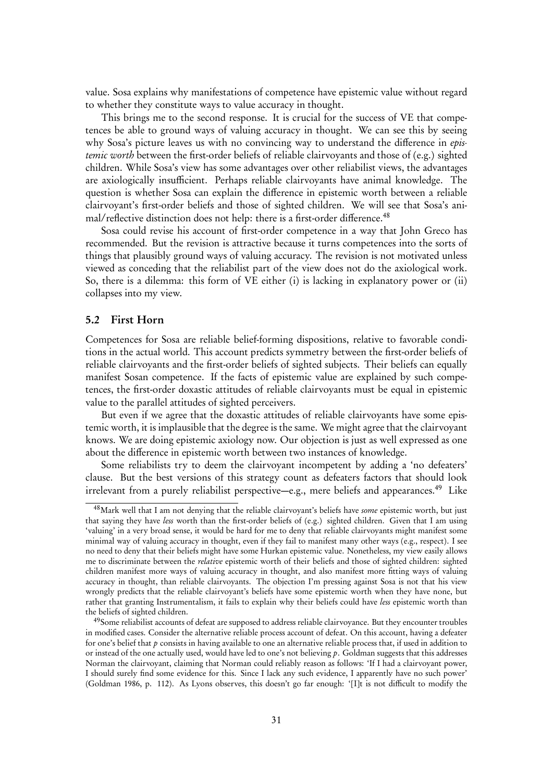value. Sosa explains why manifestations of competence have epistemic value without regard to whether they constitute ways to value accuracy in thought.

This brings me to the second response. It is crucial for the success of VE that competences be able to ground ways of valuing accuracy in thought. We can see this by seeing why Sosa's picture leaves us with no convincing way to understand the difference in *epis*temic worth between the first-order beliefs of reliable clairvoyants and those of (e.g.) sighted children. While Sosa's view has some advantages over other reliabilist views, the advantages are axiologically insufficient. Perhaps reliable clairvoyants have animal knowledge. The question is whether Sosa can explain the difference in epistemic worth between a reliable clairvoyant's first-order beliefs and those of sighted children. We will see that Sosa's animal/reflective distinction does not help: there is a first-order difference.<sup>48</sup>

Sosa could revise his account of first-order competence in a way that John Greco has recommended. But the revision is attractive because it turns competences into the sorts of things that plausibly ground ways of valuing accuracy. The revision is not motivated unless viewed as conceding that the reliabilist part of the view does not do the axiological work. So, there is a dilemma: this form of VE either (i) is lacking in explanatory power or (ii) collapses into my view.

#### 5.2 First Horn

Competences for Sosa are reliable belief-forming dispositions, relative to favorable conditions in the actual world. This account predicts symmetry between the first-order beliefs of reliable clairvoyants and the first-order beliefs of sighted subjects. Their beliefs can equally manifest Sosan competence. If the facts of epistemic value are explained by such competences, the first-order doxastic attitudes of reliable clairvoyants must be equal in epistemic value to the parallel attitudes of sighted perceivers.

But even if we agree that the doxastic attitudes of reliable clairvoyants have some epistemic worth, it is implausible that the degree is the same. We might agree that the clairvoyant knows. We are doing epistemic axiology now. Our objection is just as well expressed as one about the difference in epistemic worth between two instances of knowledge.

Some reliabilists try to deem the clairvoyant incompetent by adding a 'no defeaters' clause. But the best versions of this strategy count as defeaters factors that should look irrelevant from a purely reliabilist perspective—e.g., mere beliefs and appearances.<sup>49</sup> Like

<sup>&</sup>lt;sup>48</sup>Mark well that I am not denying that the reliable clairvoyant's beliefs have some epistemic worth, but just that saying they have less worth than the first-order beliefs of (e.g.) sighted children. Given that I am using 'valuing' in a very broad sense, it would be hard for me to deny that reliable clairvoyants might manifest some minimal way of valuing accuracy in thought, even if they fail to manifest many other ways (e.g., respect). I see no need to deny that their beliefs might have some Hurkan epistemic value. Nonetheless, my view easily allows me to discriminate between the *relative* epistemic worth of their beliefs and those of sighted children: sighted children manifest more ways of valuing accuracy in thought, and also manifest more fitting ways of valuing accuracy in thought, than reliable clairvoyants. The objection I'm pressing against Sosa is not that his view wrongly predicts that the reliable clairvoyant's beliefs have some epistemic worth when they have none, but rather that granting Instrumentalism, it fails to explain why their beliefs could have less epistemic worth than the beliefs of sighted children.

<sup>&</sup>lt;sup>49</sup>Some reliabilist accounts of defeat are supposed to address reliable clairvoyance. But they encounter troubles in modified cases. Consider the alternative reliable process account of defeat. On this account, having a defeater for one's belief that  $p$  consists in having available to one an alternative reliable process that, if used in addition to or instead of the one actually used, would have led to one's not believing  $p$ . Goldman suggests that this addresses Norman the clairvoyant, claiming that Norman could reliably reason as follows: 'If I had a clairvoyant power, I should surely find some evidence for this. Since I lack any such evidence, I apparently have no such power' (Goldman 1986, p. 112). As Lyons observes, this doesn't go far enough: '[I]t is not difficult to modify the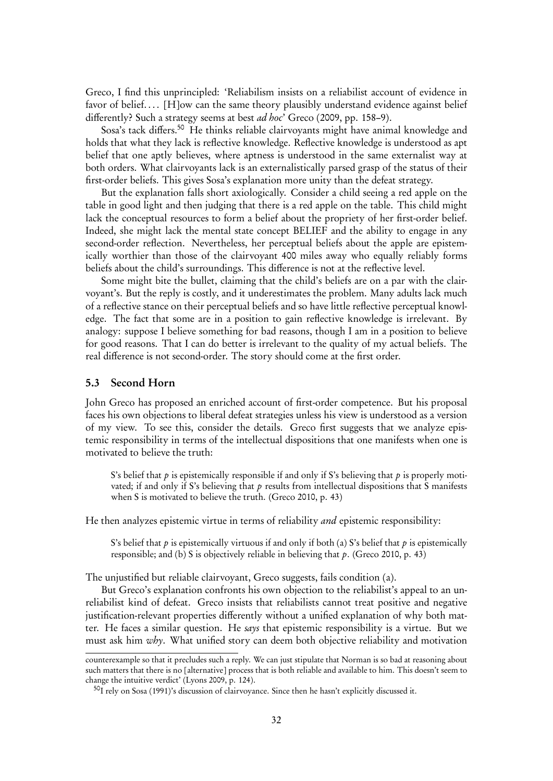Greco, I find this unprincipled: 'Reliabilism insists on a reliabilist account of evidence in favor of belief.... [H]ow can the same theory plausibly understand evidence against belief differently? Such a strategy seems at best *ad hoc*' Greco (2009, pp. 158–9).

Sosa's tack differs.<sup>50</sup> He thinks reliable clairvoyants might have animal knowledge and holds that what they lack is reflective knowledge. Reflective knowledge is understood as apt belief that one aptly believes, where aptness is understood in the same externalist way at both orders. What clairvoyants lack is an externalistically parsed grasp of the status of their first-order beliefs. This gives Sosa's explanation more unity than the defeat strategy.

But the explanation falls short axiologically. Consider a child seeing a red apple on the table in good light and then judging that there is a red apple on the table. This child might lack the conceptual resources to form a belief about the propriety of her first-order belief. Indeed, she might lack the mental state concept BELIEF and the ability to engage in any second-order reflection. Nevertheless, her perceptual beliefs about the apple are epistemically worthier than those of the clairvoyant 400 miles away who equally reliably forms beliefs about the child's surroundings. This difference is not at the reflective level.

Some might bite the bullet, claiming that the child's beliefs are on a par with the clairvoyant's. But the reply is costly, and it underestimates the problem. Many adults lack much of a reflective stance on their perceptual beliefs and so have little reflective perceptual knowledge. The fact that some are in a position to gain reflective knowledge is irrelevant. By analogy: suppose I believe something for bad reasons, though I am in a position to believe for good reasons. That I can do better is irrelevant to the quality of my actual beliefs. The real difference is not second-order. The story should come at the first order.

#### 5.3 Second Horn

John Greco has proposed an enriched account of first-order competence. But his proposal faces his own objections to liberal defeat strategies unless his view is understood as a version of my view. To see this, consider the details. Greco first suggests that we analyze epistemic responsibility in terms of the intellectual dispositions that one manifests when one is motivated to believe the truth:

S's belief that p is epistemically responsible if and only if S's believing that p is properly motivated; if and only if S's believing that  $p$  results from intellectual dispositions that S manifests when S is motivated to believe the truth. (Greco 2010, p. 43)

He then analyzes epistemic virtue in terms of reliability *and* epistemic responsibility:

S's belief that p is epistemically virtuous if and only if both (a) S's belief that p is epistemically responsible; and (b) S is objectively reliable in believing that  $p$ . (Greco 2010, p. 43)

The unjustified but reliable clairvoyant, Greco suggests, fails condition (a).

But Greco's explanation confronts his own objection to the reliabilist's appeal to an unreliabilist kind of defeat. Greco insists that reliabilists cannot treat positive and negative justification-relevant properties differently without a unified explanation of why both matter. He faces a similar question. He says that epistemic responsibility is a virtue. But we must ask him why. What unified story can deem both objective reliability and motivation

counterexample so that it precludes such a reply. We can just stipulate that Norman is so bad at reasoning about such matters that there is no [alternative] process that is both reliable and available to him. This doesn't seem to change the intuitive verdict' (Lyons 2009, p. 124).

<sup>50</sup>I rely on Sosa (1991)'s discussion of clairvoyance. Since then he hasn't explicitly discussed it.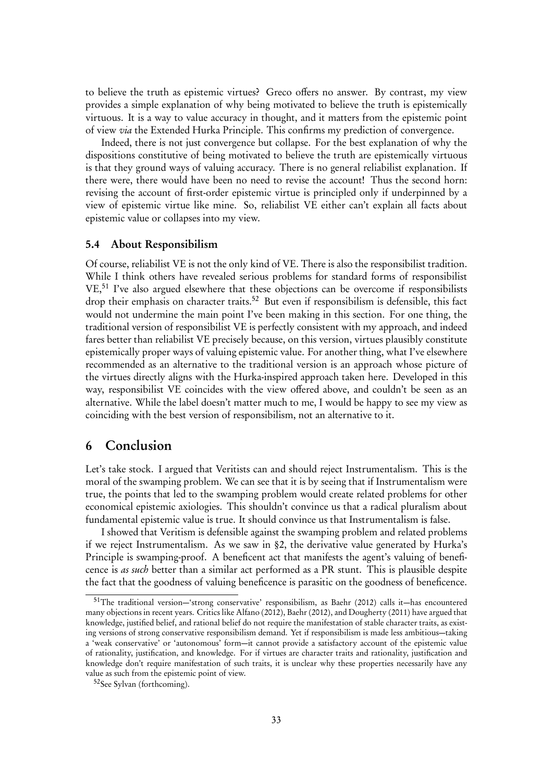to believe the truth as epistemic virtues? Greco offers no answer. By contrast, my view provides a simple explanation of why being motivated to believe the truth is epistemically virtuous. It is a way to value accuracy in thought, and it matters from the epistemic point of view via the Extended Hurka Principle. This confirms my prediction of convergence.

Indeed, there is not just convergence but collapse. For the best explanation of why the dispositions constitutive of being motivated to believe the truth are epistemically virtuous is that they ground ways of valuing accuracy. There is no general reliabilist explanation. If there were, there would have been no need to revise the account! Thus the second horn: revising the account of first-order epistemic virtue is principled only if underpinned by a view of epistemic virtue like mine. So, reliabilist VE either can't explain all facts about epistemic value or collapses into my view.

#### 5.4 About Responsibilism

Of course, reliabilist VE is not the only kind of VE. There is also the responsibilist tradition. While I think others have revealed serious problems for standard forms of responsibilist VE,<sup>51</sup> I've also argued elsewhere that these objections can be overcome if responsibilists drop their emphasis on character traits.<sup>52</sup> But even if responsibilism is defensible, this fact would not undermine the main point I've been making in this section. For one thing, the traditional version of responsibilist VE is perfectly consistent with my approach, and indeed fares better than reliabilist VE precisely because, on this version, virtues plausibly constitute epistemically proper ways of valuing epistemic value. For another thing, what I've elsewhere recommended as an alternative to the traditional version is an approach whose picture of the virtues directly aligns with the Hurka-inspired approach taken here. Developed in this way, responsibilist VE coincides with the view offered above, and couldn't be seen as an alternative. While the label doesn't matter much to me, I would be happy to see my view as coinciding with the best version of responsibilism, not an alternative to it.

# 6 Conclusion

Let's take stock. I argued that Veritists can and should reject Instrumentalism. This is the moral of the swamping problem. We can see that it is by seeing that if Instrumentalism were true, the points that led to the swamping problem would create related problems for other economical epistemic axiologies. This shouldn't convince us that a radical pluralism about fundamental epistemic value is true. It should convince us that Instrumentalism is false.

I showed that Veritism is defensible against the swamping problem and related problems if we reject Instrumentalism. As we saw in §2, the derivative value generated by Hurka's Principle is swamping-proof. A beneficent act that manifests the agent's valuing of beneficence is as such better than a similar act performed as a PR stunt. This is plausible despite the fact that the goodness of valuing beneficence is parasitic on the goodness of beneficence.

<sup>51</sup>The traditional version—'strong conservative' responsibilism, as Baehr (2012) calls it—has encountered many objections in recent years. Critics like Alfano (2012), Baehr (2012), and Dougherty (2011) have argued that knowledge, justified belief, and rational belief do not require the manifestation of stable character traits, as existing versions of strong conservative responsibilism demand. Yet if responsibilism is made less ambitious—taking a 'weak conservative' or 'autonomous' form—it cannot provide a satisfactory account of the epistemic value of rationality, justification, and knowledge. For if virtues are character traits and rationality, justification and knowledge don't require manifestation of such traits, it is unclear why these properties necessarily have any value as such from the epistemic point of view.

<sup>&</sup>lt;sup>52</sup>See Sylvan (forthcoming).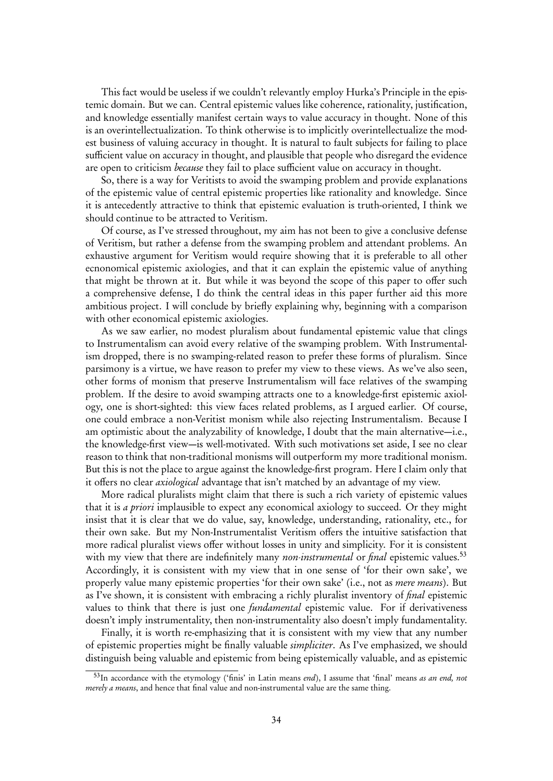This fact would be useless if we couldn't relevantly employ Hurka's Principle in the epistemic domain. But we can. Central epistemic values like coherence, rationality, justification, and knowledge essentially manifest certain ways to value accuracy in thought. None of this is an overintellectualization. To think otherwise is to implicitly overintellectualize the modest business of valuing accuracy in thought. It is natural to fault subjects for failing to place sufficient value on accuracy in thought, and plausible that people who disregard the evidence are open to criticism because they fail to place sufficient value on accuracy in thought.

So, there is a way for Veritists to avoid the swamping problem and provide explanations of the epistemic value of central epistemic properties like rationality and knowledge. Since it is antecedently attractive to think that epistemic evaluation is truth-oriented, I think we should continue to be attracted to Veritism.

Of course, as I've stressed throughout, my aim has not been to give a conclusive defense of Veritism, but rather a defense from the swamping problem and attendant problems. An exhaustive argument for Veritism would require showing that it is preferable to all other ecnonomical epistemic axiologies, and that it can explain the epistemic value of anything that might be thrown at it. But while it was beyond the scope of this paper to offer such a comprehensive defense, I do think the central ideas in this paper further aid this more ambitious project. I will conclude by briefly explaining why, beginning with a comparison with other economical epistemic axiologies.

As we saw earlier, no modest pluralism about fundamental epistemic value that clings to Instrumentalism can avoid every relative of the swamping problem. With Instrumentalism dropped, there is no swamping-related reason to prefer these forms of pluralism. Since parsimony is a virtue, we have reason to prefer my view to these views. As we've also seen, other forms of monism that preserve Instrumentalism will face relatives of the swamping problem. If the desire to avoid swamping attracts one to a knowledge-first epistemic axiology, one is short-sighted: this view faces related problems, as I argued earlier. Of course, one could embrace a non-Veritist monism while also rejecting Instrumentalism. Because I am optimistic about the analyzability of knowledge, I doubt that the main alternative—i.e., the knowledge-first view—is well-motivated. With such motivations set aside, I see no clear reason to think that non-traditional monisms will outperform my more traditional monism. But this is not the place to argue against the knowledge-first program. Here I claim only that it offers no clear axiological advantage that isn't matched by an advantage of my view.

More radical pluralists might claim that there is such a rich variety of epistemic values that it is a priori implausible to expect any economical axiology to succeed. Or they might insist that it is clear that we do value, say, knowledge, understanding, rationality, etc., for their own sake. But my Non-Instrumentalist Veritism offers the intuitive satisfaction that more radical pluralist views offer without losses in unity and simplicity. For it is consistent with my view that there are indefinitely many *non-instrumental* or *final* epistemic values.<sup>53</sup> Accordingly, it is consistent with my view that in one sense of 'for their own sake', we properly value many epistemic properties 'for their own sake' (i.e., not as mere means). But as I've shown, it is consistent with embracing a richly pluralist inventory of *final* epistemic values to think that there is just one *fundamental* epistemic value. For if derivativeness doesn't imply instrumentality, then non-instrumentality also doesn't imply fundamentality.

Finally, it is worth re-emphasizing that it is consistent with my view that any number of epistemic properties might be finally valuable simpliciter. As I've emphasized, we should distinguish being valuable and epistemic from being epistemically valuable, and as epistemic

 $53$ In accordance with the etymology ('finis' in Latin means *end*), I assume that 'final' means *as an end, not* merely a means, and hence that final value and non-instrumental value are the same thing.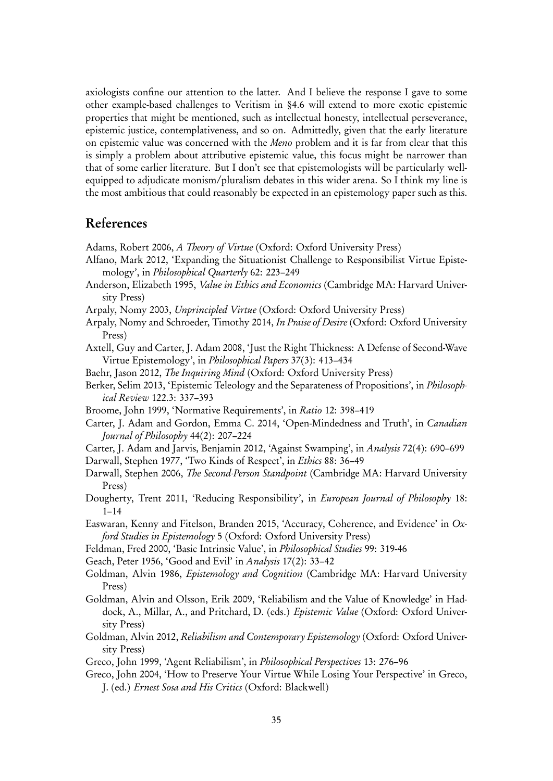axiologists confine our attention to the latter. And I believe the response I gave to some other example-based challenges to Veritism in §4.6 will extend to more exotic epistemic properties that might be mentioned, such as intellectual honesty, intellectual perseverance, epistemic justice, contemplativeness, and so on. Admittedly, given that the early literature on epistemic value was concerned with the *Meno* problem and it is far from clear that this is simply a problem about attributive epistemic value, this focus might be narrower than that of some earlier literature. But I don't see that epistemologists will be particularly wellequipped to adjudicate monism/pluralism debates in this wider arena. So I think my line is the most ambitious that could reasonably be expected in an epistemology paper such as this.

# References

- Adams, Robert 2006, A Theory of Virtue (Oxford: Oxford University Press)
- Alfano, Mark 2012, 'Expanding the Situationist Challenge to Responsibilist Virtue Epistemology', in Philosophical Quarterly 62: 223–249
- Anderson, Elizabeth 1995, *Value in Ethics and Economics* (Cambridge MA: Harvard University Press)
- Arpaly, Nomy 2003, Unprincipled Virtue (Oxford: Oxford University Press)
- Arpaly, Nomy and Schroeder, Timothy 2014, In Praise of Desire (Oxford: Oxford University Press)
- Axtell, Guy and Carter, J. Adam 2008, 'Just the Right Thickness: A Defense of Second-Wave Virtue Epistemology', in Philosophical Papers 37(3): 413–434
- Baehr, Jason 2012, The Inquiring Mind (Oxford: Oxford University Press)
- Berker, Selim 2013, 'Epistemic Teleology and the Separateness of Propositions', in Philosophical Review 122.3: 337–393
- Broome, John 1999, 'Normative Requirements', in Ratio 12: 398–419
- Carter, J. Adam and Gordon, Emma C. 2014, 'Open-Mindedness and Truth', in Canadian Journal of Philosophy 44(2): 207–224
- Carter, J. Adam and Jarvis, Benjamin 2012, 'Against Swamping', in Analysis 72(4): 690–699
- Darwall, Stephen 1977, 'Two Kinds of Respect', in Ethics 88: 36–49
- Darwall, Stephen 2006, The Second-Person Standpoint (Cambridge MA: Harvard University Press)
- Dougherty, Trent 2011, 'Reducing Responsibility', in *European Journal of Philosophy* 18: 1–14
- Easwaran, Kenny and Fitelson, Branden 2015, 'Accuracy, Coherence, and Evidence' in Oxford Studies in Epistemology 5 (Oxford: Oxford University Press)
- Feldman, Fred 2000, 'Basic Intrinsic Value', in Philosophical Studies 99: 319-46
- Geach, Peter 1956, 'Good and Evil' in Analysis 17(2): 33–42
- Goldman, Alvin 1986, *Epistemology and Cognition* (Cambridge MA: Harvard University Press)
- Goldman, Alvin and Olsson, Erik 2009, 'Reliabilism and the Value of Knowledge' in Haddock, A., Millar, A., and Pritchard, D. (eds.) Epistemic Value (Oxford: Oxford University Press)
- Goldman, Alvin 2012, Reliabilism and Contemporary Epistemology (Oxford: Oxford University Press)
- Greco, John 1999, 'Agent Reliabilism', in Philosophical Perspectives 13: 276–96
- Greco, John 2004, 'How to Preserve Your Virtue While Losing Your Perspective' in Greco, J. (ed.) Ernest Sosa and His Critics (Oxford: Blackwell)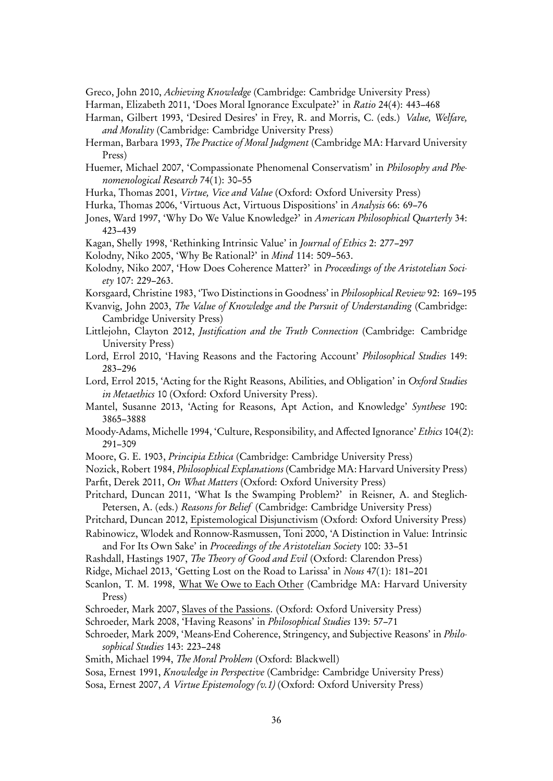Greco, John 2010, Achieving Knowledge (Cambridge: Cambridge University Press)

- Harman, Elizabeth 2011, 'Does Moral Ignorance Exculpate?' in Ratio 24(4): 443–468
- Harman, Gilbert 1993, 'Desired Desires' in Frey, R. and Morris, C. (eds.) Value, Welfare, and Morality (Cambridge: Cambridge University Press)
- Herman, Barbara 1993, *The Practice of Moral Judgment* (Cambridge MA: Harvard University Press)
- Huemer, Michael 2007, 'Compassionate Phenomenal Conservatism' in Philosophy and Phenomenological Research 74(1): 30–55

Hurka, Thomas 2001, Virtue, Vice and Value (Oxford: Oxford University Press)

- Hurka, Thomas 2006, 'Virtuous Act, Virtuous Dispositions' in Analysis 66: 69–76
- Jones, Ward 1997, 'Why Do We Value Knowledge?' in American Philosophical Quarterly 34: 423–439
- Kagan, Shelly 1998, 'Rethinking Intrinsic Value' in Journal of Ethics 2: 277–297
- Kolodny, Niko 2005, 'Why Be Rational?' in Mind 114: 509–563.
- Kolodny, Niko 2007, 'How Does Coherence Matter?' in Proceedings of the Aristotelian Society 107: 229–263.
- Korsgaard, Christine 1983, 'Two Distinctions in Goodness' in Philosophical Review 92: 169–195
- Kvanvig, John 2003, The Value of Knowledge and the Pursuit of Understanding (Cambridge: Cambridge University Press)
- Littlejohn, Clayton 2012, *Justification and the Truth Connection* (Cambridge: Cambridge University Press)
- Lord, Errol 2010, 'Having Reasons and the Factoring Account' Philosophical Studies 149: 283–296
- Lord, Errol 2015, 'Acting for the Right Reasons, Abilities, and Obligation' in Oxford Studies in Metaethics 10 (Oxford: Oxford University Press).
- Mantel, Susanne 2013, 'Acting for Reasons, Apt Action, and Knowledge' Synthese 190: 3865–3888
- Moody-Adams, Michelle 1994, 'Culture, Responsibility, and Affected Ignorance' Ethics 104(2): 291–309
- Moore, G. E. 1903, Principia Ethica (Cambridge: Cambridge University Press)
- Nozick, Robert 1984, Philosophical Explanations (Cambridge MA: Harvard University Press)
- Parfit, Derek 2011, On What Matters (Oxford: Oxford University Press)
- Pritchard, Duncan 2011, 'What Is the Swamping Problem?' in Reisner, A. and Steglich-Petersen, A. (eds.) Reasons for Belief (Cambridge: Cambridge University Press)
- Pritchard, Duncan 2012, Epistemological Disjunctivism (Oxford: Oxford University Press)
- Rabinowicz, Wlodek and Ronnow-Rasmussen, Toni 2000, 'A Distinction in Value: Intrinsic and For Its Own Sake' in Proceedings of the Aristotelian Society 100: 33–51
- Rashdall, Hastings 1907, The Theory of Good and Evil (Oxford: Clarendon Press)
- Ridge, Michael 2013, 'Getting Lost on the Road to Larissa' in Nous 47(1): 181–201
- Scanlon, T. M. 1998, What We Owe to Each Other (Cambridge MA: Harvard University Press)
- Schroeder, Mark 2007, Slaves of the Passions. (Oxford: Oxford University Press)
- Schroeder, Mark 2008, 'Having Reasons' in Philosophical Studies 139: 57–71
- Schroeder, Mark 2009, 'Means-End Coherence, Stringency, and Subjective Reasons' in Philosophical Studies 143: 223–248
- Smith, Michael 1994, The Moral Problem (Oxford: Blackwell)
- Sosa, Ernest 1991, Knowledge in Perspective (Cambridge: Cambridge University Press)
- Sosa, Ernest 2007, A Virtue Epistemology (v.1) (Oxford: Oxford University Press)